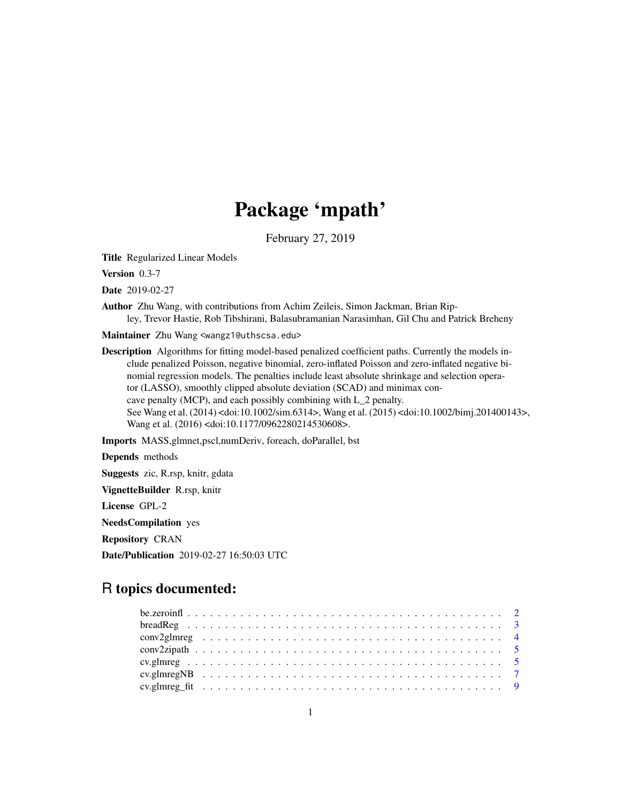## Package 'mpath'

February 27, 2019

<span id="page-0-0"></span>Title Regularized Linear Models

Version 0.3-7

Date 2019-02-27

Author Zhu Wang, with contributions from Achim Zeileis, Simon Jackman, Brian Ripley, Trevor Hastie, Rob Tibshirani, Balasubramanian Narasimhan, Gil Chu and Patrick Breheny

Maintainer Zhu Wang <wangz1@uthscsa.edu>

Description Algorithms for fitting model-based penalized coefficient paths. Currently the models include penalized Poisson, negative binomial, zero-inflated Poisson and zero-inflated negative binomial regression models. The penalties include least absolute shrinkage and selection operator (LASSO), smoothly clipped absolute deviation (SCAD) and minimax concave penalty (MCP), and each possibly combining with L\_2 penalty. See Wang et al. (2014) <doi:10.1002/sim.6314>, Wang et al. (2015) <doi:10.1002/bimj.201400143>, Wang et al. (2016) <doi:10.1177/0962280214530608>.

Imports MASS,glmnet,pscl,numDeriv, foreach, doParallel, bst

Depends methods

Suggests zic, R.rsp, knitr, gdata

VignetteBuilder R.rsp, knitr

License GPL-2

NeedsCompilation yes

Repository CRAN

Date/Publication 2019-02-27 16:50:03 UTC

## R topics documented: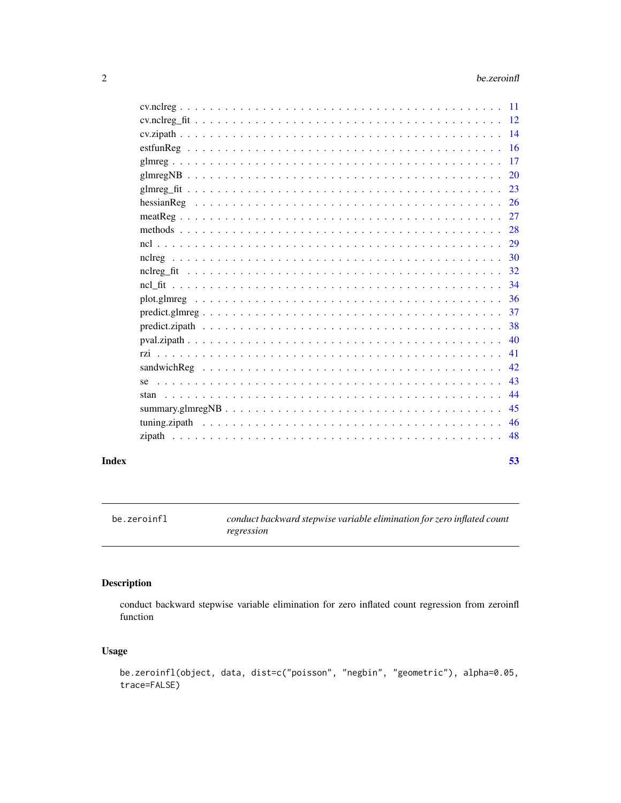<span id="page-1-0"></span>

| Index | 53 |
|-------|----|

be.zeroinfl *conduct backward stepwise variable elimination for zero inflated count regression*

### Description

conduct backward stepwise variable elimination for zero inflated count regression from zeroinfl function

### Usage

```
be.zeroinfl(object, data, dist=c("poisson", "negbin", "geometric"), alpha=0.05,
trace=FALSE)
```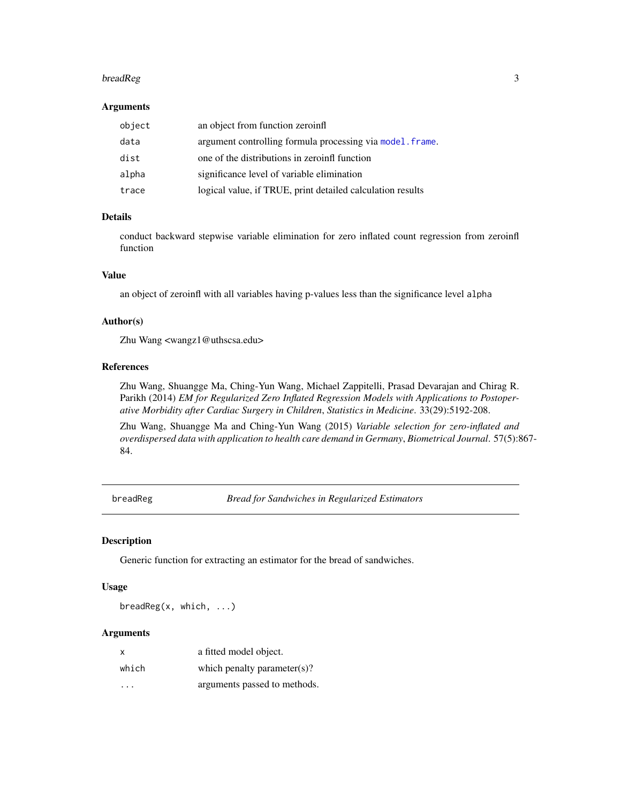#### <span id="page-2-0"></span>breadReg 3

#### Arguments

| object | an object from function zeroinfl                           |
|--------|------------------------------------------------------------|
| data   | argument controlling formula processing via model. frame.  |
| dist   | one of the distributions in zeroinfl function              |
| alpha  | significance level of variable elimination                 |
| trace  | logical value, if TRUE, print detailed calculation results |

### Details

conduct backward stepwise variable elimination for zero inflated count regression from zeroinfl function

#### Value

an object of zeroinfl with all variables having p-values less than the significance level alpha

### Author(s)

Zhu Wang <wangz1@uthscsa.edu>

### References

Zhu Wang, Shuangge Ma, Ching-Yun Wang, Michael Zappitelli, Prasad Devarajan and Chirag R. Parikh (2014) *EM for Regularized Zero Inflated Regression Models with Applications to Postoperative Morbidity after Cardiac Surgery in Children*, *Statistics in Medicine*. 33(29):5192-208.

Zhu Wang, Shuangge Ma and Ching-Yun Wang (2015) *Variable selection for zero-inflated and overdispersed data with application to health care demand in Germany*, *Biometrical Journal*. 57(5):867- 84.

<span id="page-2-1"></span>breadReg *Bread for Sandwiches in Regularized Estimators*

### Description

Generic function for extracting an estimator for the bread of sandwiches.

### Usage

breadReg(x, which, ...)

| $\times$ | a fitted model object.       |
|----------|------------------------------|
| which    | which penalty parameter(s)?  |
| $\cdot$  | arguments passed to methods. |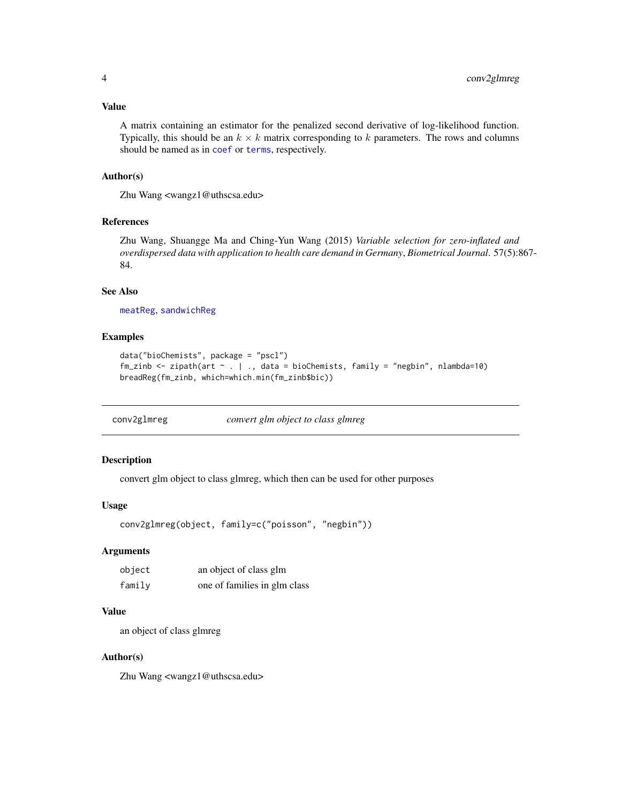### <span id="page-3-0"></span>Value

A matrix containing an estimator for the penalized second derivative of log-likelihood function. Typically, this should be an  $k \times k$  matrix corresponding to k parameters. The rows and columns should be named as in [coef](#page-0-0) or [terms](#page-0-0), respectively.

#### Author(s)

Zhu Wang <wangz1@uthscsa.edu>

### References

Zhu Wang, Shuangge Ma and Ching-Yun Wang (2015) *Variable selection for zero-inflated and overdispersed data with application to health care demand in Germany*, *Biometrical Journal*. 57(5):867- 84.

#### See Also

[meatReg](#page-26-1), [sandwichReg](#page-41-1)

#### Examples

```
data("bioChemists", package = "pscl")
fm_zinb <- zipath(art ~ . | ., data = bioChemists, family = "negbin", nlambda=10)
breadReg(fm_zinb, which=which.min(fm_zinb$bic))
```

| conv2glmreg | convert glm object to class glmreg |
|-------------|------------------------------------|
|             |                                    |

### Description

convert glm object to class glmreg, which then can be used for other purposes

#### Usage

```
conv2glmreg(object, family=c("poisson", "negbin"))
```
#### Arguments

| object | an object of class glm       |
|--------|------------------------------|
| family | one of families in glm class |

#### Value

an object of class glmreg

#### Author(s)

Zhu Wang <wangz1@uthscsa.edu>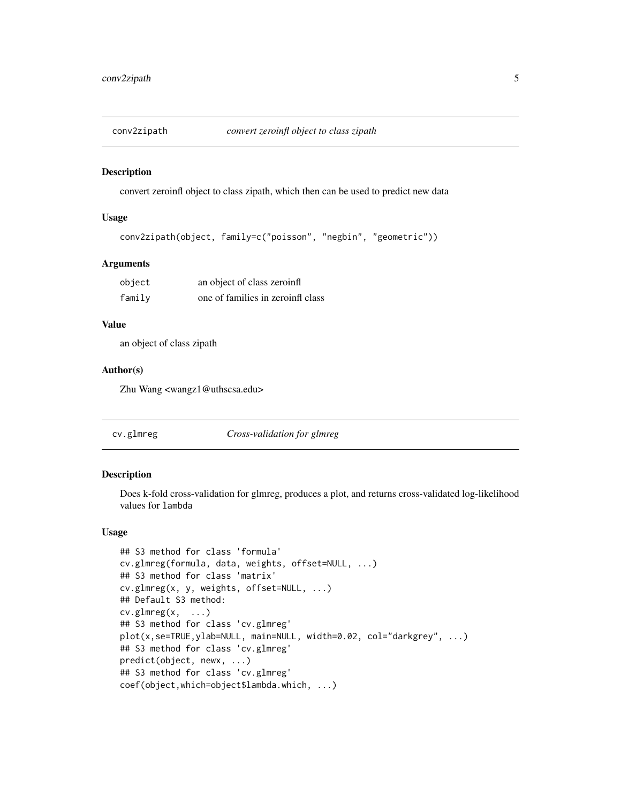<span id="page-4-0"></span>

convert zeroinfl object to class zipath, which then can be used to predict new data

### Usage

```
conv2zipath(object, family=c("poisson", "negbin", "geometric"))
```
#### Arguments

| object | an object of class zeroinfl       |
|--------|-----------------------------------|
| family | one of families in zeroinfl class |

### Value

an object of class zipath

### Author(s)

Zhu Wang <wangz1@uthscsa.edu>

<span id="page-4-1"></span>cv.glmreg *Cross-validation for glmreg*

#### Description

Does k-fold cross-validation for glmreg, produces a plot, and returns cross-validated log-likelihood values for lambda

#### Usage

```
## S3 method for class 'formula'
cv.glmreg(formula, data, weights, offset=NULL, ...)
## S3 method for class 'matrix'
cv.glmreg(x, y, weights, offset=NULL, ...)
## Default S3 method:
cv.glmreg(x, \ldots)## S3 method for class 'cv.glmreg'
plot(x,se=TRUE,ylab=NULL, main=NULL, width=0.02, col="darkgrey", ...)
## S3 method for class 'cv.glmreg'
predict(object, newx, ...)
## S3 method for class 'cv.glmreg'
coef(object,which=object$lambda.which, ...)
```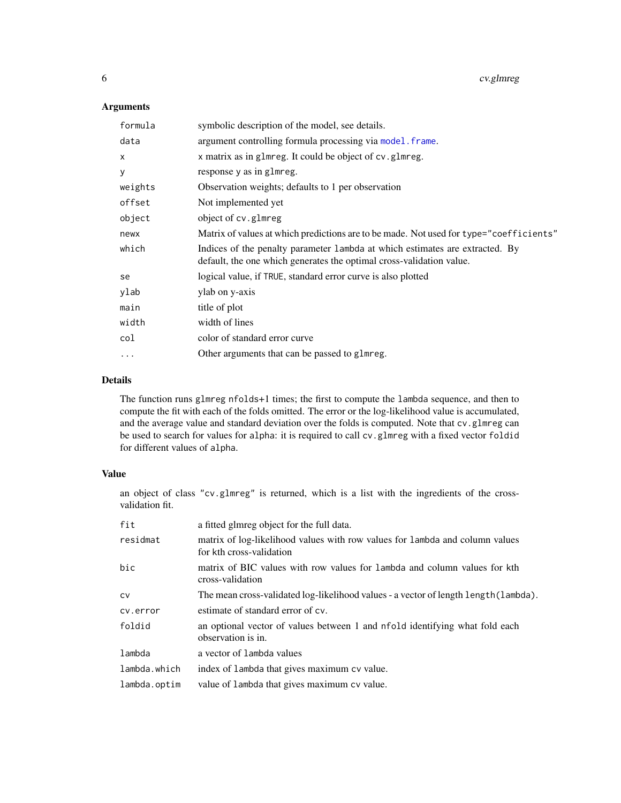### <span id="page-5-0"></span>Arguments

| formula      | symbolic description of the model, see details.                                                                                                      |
|--------------|------------------------------------------------------------------------------------------------------------------------------------------------------|
| data         | argument controlling formula processing via model. frame.                                                                                            |
| $\mathsf{x}$ | x matrix as in glmreg. It could be object of cv.glmreg.                                                                                              |
| У            | response y as in glmreg.                                                                                                                             |
| weights      | Observation weights; defaults to 1 per observation                                                                                                   |
| offset       | Not implemented yet                                                                                                                                  |
| object       | object of cv.glmreg                                                                                                                                  |
| newx         | Matrix of values at which predictions are to be made. Not used for type="coefficients"                                                               |
| which        | Indices of the penalty parameter lambda at which estimates are extracted. By<br>default, the one which generates the optimal cross-validation value. |
| se           | logical value, if TRUE, standard error curve is also plotted                                                                                         |
| ylab         | ylab on y-axis                                                                                                                                       |
| main         | title of plot                                                                                                                                        |
| width        | width of lines                                                                                                                                       |
| col          | color of standard error curve                                                                                                                        |
| $\ddotsc$    | Other arguments that can be passed to glmreg.                                                                                                        |

### Details

The function runs glmreg nfolds+1 times; the first to compute the lambda sequence, and then to compute the fit with each of the folds omitted. The error or the log-likelihood value is accumulated, and the average value and standard deviation over the folds is computed. Note that cv.glmreg can be used to search for values for alpha: it is required to call cv.glmreg with a fixed vector foldid for different values of alpha.

### Value

an object of class "cv.glmreg" is returned, which is a list with the ingredients of the crossvalidation fit.

| fit          | a fitted glmreg object for the full data.                                                                |
|--------------|----------------------------------------------------------------------------------------------------------|
| residmat     | matrix of log-likelihood values with row values for lambda and column values<br>for kth cross-validation |
| bic          | matrix of BIC values with row values for lambda and column values for kth<br>cross-validation            |
| <b>CV</b>    | The mean cross-validated log-likelihood values - a vector of length length (lambda).                     |
| cv.error     | estimate of standard error of cv.                                                                        |
| foldid       | an optional vector of values between 1 and nfold identifying what fold each<br>observation is in.        |
| lambda       | a vector of lambda values                                                                                |
| lambda.which | index of lambda that gives maximum cv value.                                                             |
| lambda.optim | value of lambda that gives maximum cv value.                                                             |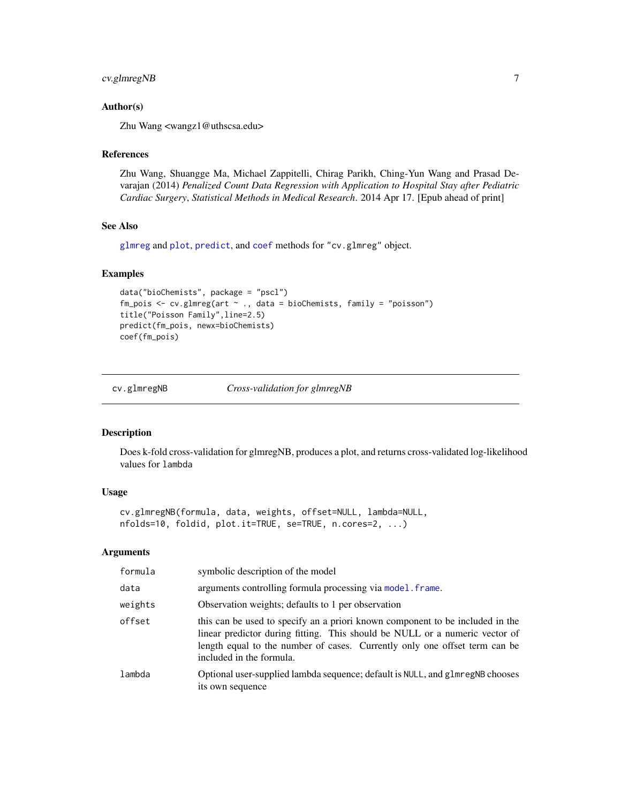### <span id="page-6-0"></span>cv.glmregNB 7

### Author(s)

Zhu Wang <wangz1@uthscsa.edu>

#### References

Zhu Wang, Shuangge Ma, Michael Zappitelli, Chirag Parikh, Ching-Yun Wang and Prasad Devarajan (2014) *Penalized Count Data Regression with Application to Hospital Stay after Pediatric Cardiac Surgery*, *Statistical Methods in Medical Research*. 2014 Apr 17. [Epub ahead of print]

#### See Also

[glmreg](#page-16-1) and [plot](#page-0-0), [predict](#page-0-0), and [coef](#page-0-0) methods for "cv.glmreg" object.

### Examples

```
data("bioChemists", package = "pscl")
fm_pois <- cv.glmreg(art \sim ., data = bioChemists, family = "poisson")
title("Poisson Family",line=2.5)
predict(fm_pois, newx=bioChemists)
coef(fm_pois)
```
<span id="page-6-1"></span>cv.glmregNB *Cross-validation for glmregNB*

#### Description

Does k-fold cross-validation for glmregNB, produces a plot, and returns cross-validated log-likelihood values for lambda

#### Usage

```
cv.glmregNB(formula, data, weights, offset=NULL, lambda=NULL,
nfolds=10, foldid, plot.it=TRUE, se=TRUE, n.cores=2, ...)
```

| formula | symbolic description of the model                                                                                                                                                                                                                                      |
|---------|------------------------------------------------------------------------------------------------------------------------------------------------------------------------------------------------------------------------------------------------------------------------|
| data    | arguments controlling formula processing via model. frame.                                                                                                                                                                                                             |
| weights | Observation weights; defaults to 1 per observation                                                                                                                                                                                                                     |
| offset  | this can be used to specify an a priori known component to be included in the<br>linear predictor during fitting. This should be NULL or a numeric vector of<br>length equal to the number of cases. Currently only one offset term can be<br>included in the formula. |
| lambda  | Optional user-supplied lambda sequence; default is NULL, and glmregNB chooses<br>its own sequence                                                                                                                                                                      |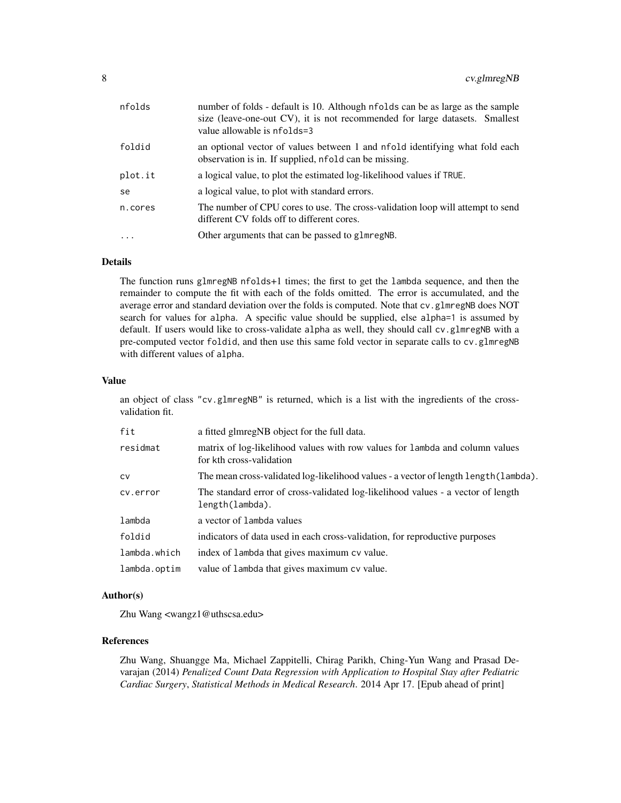| nfolds  | number of folds - default is 10. Although nfolds can be as large as the sample<br>size (leave-one-out CV), it is not recommended for large datasets. Smallest<br>value allowable is nfolds=3 |
|---------|----------------------------------------------------------------------------------------------------------------------------------------------------------------------------------------------|
| foldid  | an optional vector of values between 1 and nfold identifying what fold each<br>observation is in. If supplied, nfold can be missing.                                                         |
| plot.it | a logical value, to plot the estimated log-likelihood values if TRUE.                                                                                                                        |
| se      | a logical value, to plot with standard errors.                                                                                                                                               |
| n.cores | The number of CPU cores to use. The cross-validation loop will attempt to send<br>different CV folds off to different cores.                                                                 |
| $\cdot$ | Other arguments that can be passed to glmregNB.                                                                                                                                              |

The function runs glmregNB nfolds+1 times; the first to get the lambda sequence, and then the remainder to compute the fit with each of the folds omitted. The error is accumulated, and the average error and standard deviation over the folds is computed. Note that cv.glmregNB does NOT search for values for alpha. A specific value should be supplied, else alpha=1 is assumed by default. If users would like to cross-validate alpha as well, they should call cv.glmregNB with a pre-computed vector foldid, and then use this same fold vector in separate calls to cv.glmregNB with different values of alpha.

#### Value

an object of class "cv.glmregNB" is returned, which is a list with the ingredients of the crossvalidation fit.

| fit          | a fitted glmregNB object for the full data.                                                              |
|--------------|----------------------------------------------------------------------------------------------------------|
| residmat     | matrix of log-likelihood values with row values for lambda and column values<br>for kth cross-validation |
| <b>CV</b>    | The mean cross-validated log-likelihood values - a vector of length length (lambda).                     |
| cv.error     | The standard error of cross-validated log-likelihood values - a vector of length<br>length(lambda).      |
| lambda       | a vector of lambda values                                                                                |
| foldid       | indicators of data used in each cross-validation, for reproductive purposes                              |
| lambda.which | index of lambda that gives maximum cv value.                                                             |
| lambda.optim | value of lambda that gives maximum cv value.                                                             |

### Author(s)

Zhu Wang <wangz1@uthscsa.edu>

### References

Zhu Wang, Shuangge Ma, Michael Zappitelli, Chirag Parikh, Ching-Yun Wang and Prasad Devarajan (2014) *Penalized Count Data Regression with Application to Hospital Stay after Pediatric Cardiac Surgery*, *Statistical Methods in Medical Research*. 2014 Apr 17. [Epub ahead of print]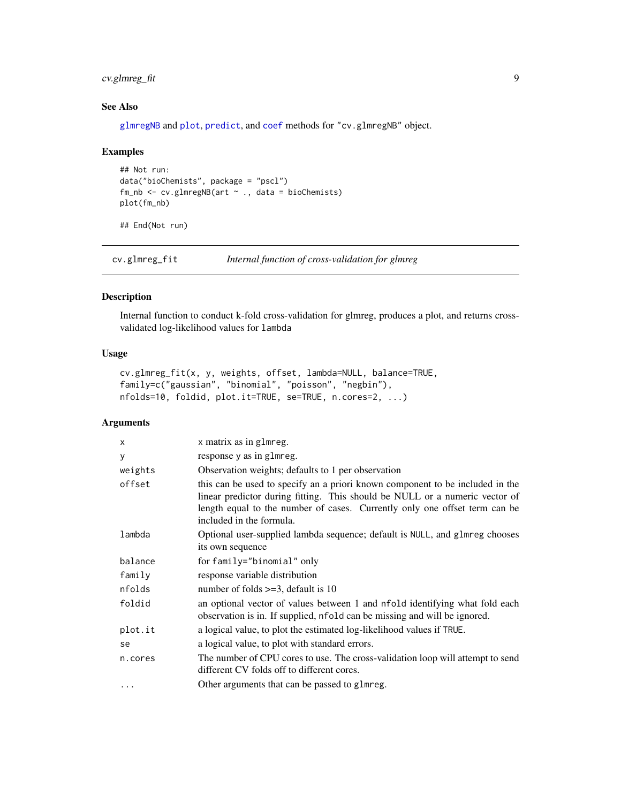### <span id="page-8-0"></span>cv.glmreg\_fit 9

### See Also

[glmregNB](#page-19-1) and [plot](#page-0-0), [predict](#page-0-0), and [coef](#page-0-0) methods for "cv.glmregNB" object.

### Examples

```
## Not run:
data("bioChemists", package = "pscl")
fm_nb <- cv.glmregNB(art ~ ., data = bioChemists)plot(fm_nb)
```
## End(Not run)

cv.glmreg\_fit *Internal function of cross-validation for glmreg*

### Description

Internal function to conduct k-fold cross-validation for glmreg, produces a plot, and returns crossvalidated log-likelihood values for lambda

### Usage

```
cv.glmreg_fit(x, y, weights, offset, lambda=NULL, balance=TRUE,
family=c("gaussian", "binomial", "poisson", "negbin"),
nfolds=10, foldid, plot.it=TRUE, se=TRUE, n.cores=2, ...)
```

| x        | x matrix as in glmreg.                                                                                                                                                                                                                                                 |
|----------|------------------------------------------------------------------------------------------------------------------------------------------------------------------------------------------------------------------------------------------------------------------------|
| У        | response y as in glmreg.                                                                                                                                                                                                                                               |
| weights  | Observation weights; defaults to 1 per observation                                                                                                                                                                                                                     |
| offset   | this can be used to specify an a priori known component to be included in the<br>linear predictor during fitting. This should be NULL or a numeric vector of<br>length equal to the number of cases. Currently only one offset term can be<br>included in the formula. |
| lambda   | Optional user-supplied lambda sequence; default is NULL, and glmreg chooses<br>its own sequence                                                                                                                                                                        |
| balance  | for family="binomial" only                                                                                                                                                                                                                                             |
| family   | response variable distribution                                                                                                                                                                                                                                         |
| nfolds   | number of folds $>=$ 3, default is 10                                                                                                                                                                                                                                  |
| foldid   | an optional vector of values between 1 and nfold identifying what fold each<br>observation is in. If supplied, nfold can be missing and will be ignored.                                                                                                               |
| plot.it  | a logical value, to plot the estimated log-likelihood values if TRUE.                                                                                                                                                                                                  |
| se       | a logical value, to plot with standard errors.                                                                                                                                                                                                                         |
| n.cores  | The number of CPU cores to use. The cross-validation loop will attempt to send<br>different CV folds off to different cores.                                                                                                                                           |
| $\cdots$ | Other arguments that can be passed to glmreg.                                                                                                                                                                                                                          |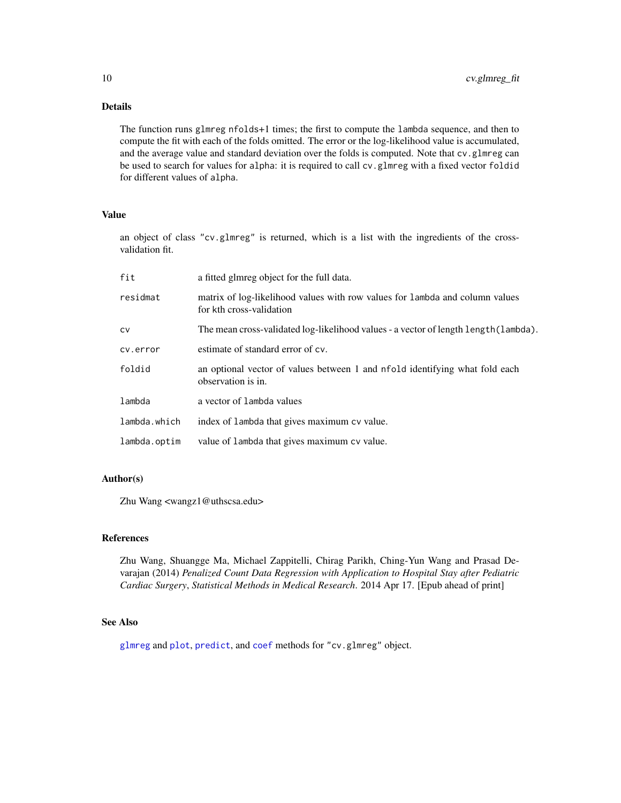<span id="page-9-0"></span>The function runs glmreg nfolds+1 times; the first to compute the lambda sequence, and then to compute the fit with each of the folds omitted. The error or the log-likelihood value is accumulated, and the average value and standard deviation over the folds is computed. Note that cv.glmreg can be used to search for values for alpha: it is required to call cv.glmreg with a fixed vector foldid for different values of alpha.

### Value

an object of class "cv.glmreg" is returned, which is a list with the ingredients of the crossvalidation fit.

| fit          | a fitted glmreg object for the full data.                                                                |
|--------------|----------------------------------------------------------------------------------------------------------|
| residmat     | matrix of log-likelihood values with row values for lambda and column values<br>for kth cross-validation |
| CV           | The mean cross-validated log-likelihood values - a vector of length length (lambda).                     |
| cv.error     | estimate of standard error of cv.                                                                        |
| foldid       | an optional vector of values between 1 and nfold identifying what fold each<br>observation is in.        |
| lambda       | a vector of lambda values                                                                                |
| lambda.which | index of lambda that gives maximum cv value.                                                             |
| lambda.optim | value of lambda that gives maximum cv value.                                                             |

### Author(s)

Zhu Wang <wangz1@uthscsa.edu>

#### References

Zhu Wang, Shuangge Ma, Michael Zappitelli, Chirag Parikh, Ching-Yun Wang and Prasad Devarajan (2014) *Penalized Count Data Regression with Application to Hospital Stay after Pediatric Cardiac Surgery*, *Statistical Methods in Medical Research*. 2014 Apr 17. [Epub ahead of print]

### See Also

[glmreg](#page-16-1) and [plot](#page-0-0), [predict](#page-0-0), and [coef](#page-0-0) methods for "cv.glmreg" object.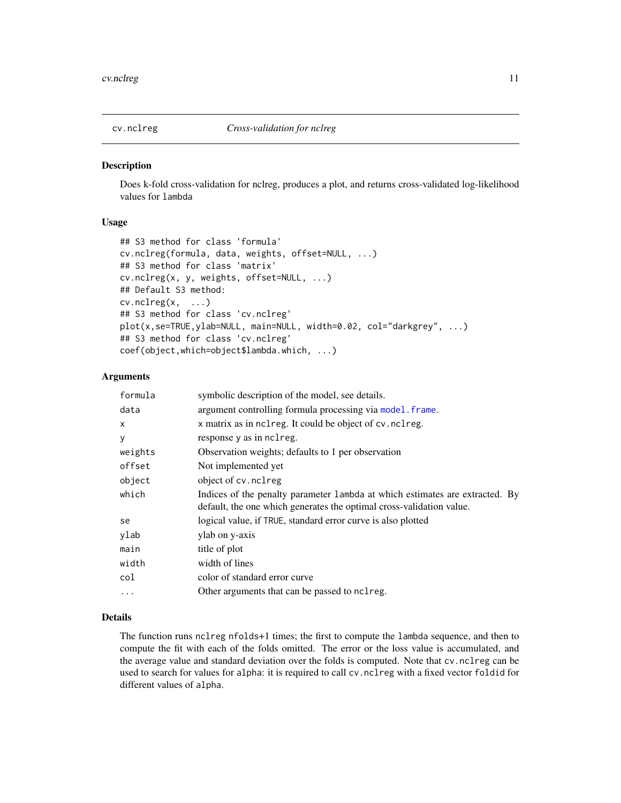<span id="page-10-1"></span><span id="page-10-0"></span>

Does k-fold cross-validation for nclreg, produces a plot, and returns cross-validated log-likelihood values for lambda

### Usage

```
## S3 method for class 'formula'
cv.nclreg(formula, data, weights, offset=NULL, ...)
## S3 method for class 'matrix'
cv.nclreg(x, y, weights, offset=NULL, ...)
## Default S3 method:
cv.nclreg(x, \ldots)## S3 method for class 'cv.nclreg'
plot(x,se=TRUE,ylab=NULL, main=NULL, width=0.02, col="darkgrey", ...)
## S3 method for class 'cv.nclreg'
coef(object,which=object$lambda.which, ...)
```
#### **Arguments**

| formula  | symbolic description of the model, see details.                                                                                                       |  |
|----------|-------------------------------------------------------------------------------------------------------------------------------------------------------|--|
| data     | argument controlling formula processing via model. frame.                                                                                             |  |
| X        | x matrix as in nclreg. It could be object of cv.nclreg.                                                                                               |  |
| y        | response y as in nclreg.                                                                                                                              |  |
| weights  | Observation weights; defaults to 1 per observation                                                                                                    |  |
| offset   | Not implemented yet                                                                                                                                   |  |
| object   | object of cv. nclreg                                                                                                                                  |  |
| which    | Indices of the penalty parameter 1 ambda at which estimates are extracted. By<br>default, the one which generates the optimal cross-validation value. |  |
| se       | logical value, if TRUE, standard error curve is also plotted                                                                                          |  |
| ylab     | ylab on y-axis                                                                                                                                        |  |
| main     | title of plot                                                                                                                                         |  |
| width    | width of lines                                                                                                                                        |  |
| col      | color of standard error curve                                                                                                                         |  |
| $\cdots$ | Other arguments that can be passed to nclreg.                                                                                                         |  |

#### Details

The function runs nclreg nfolds+1 times; the first to compute the lambda sequence, and then to compute the fit with each of the folds omitted. The error or the loss value is accumulated, and the average value and standard deviation over the folds is computed. Note that cv.nclreg can be used to search for values for alpha: it is required to call cv.nclreg with a fixed vector foldid for different values of alpha.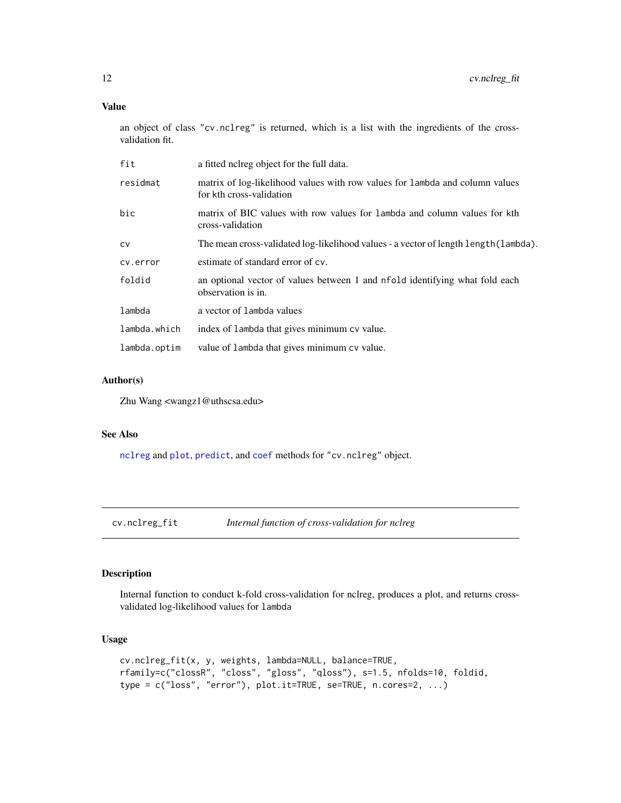### <span id="page-11-0"></span>Value

an object of class "cv.nclreg" is returned, which is a list with the ingredients of the crossvalidation fit.

| fit          | a fitted noireg object for the full data.                                                                |
|--------------|----------------------------------------------------------------------------------------------------------|
| residmat     | matrix of log-likelihood values with row values for lambda and column values<br>for kth cross-validation |
| bic          | matrix of BIC values with row values for lambda and column values for kth<br>cross-validation            |
| CV           | The mean cross-validated log-likelihood values - a vector of length length (lambda).                     |
| cv.error     | estimate of standard error of cv.                                                                        |
| foldid       | an optional vector of values between 1 and nfold identifying what fold each<br>observation is in.        |
| lambda       | a vector of lambda values                                                                                |
| lambda.which | index of lambda that gives minimum cv value.                                                             |
| lambda.optim | value of lambda that gives minimum cv value.                                                             |

### Author(s)

Zhu Wang <wangz1@uthscsa.edu>

### See Also

[nclreg](#page-29-1) and [plot](#page-0-0), [predict](#page-0-0), and [coef](#page-0-0) methods for "cv.nclreg" object.

cv.nclreg\_fit *Internal function of cross-validation for nclreg*

### Description

Internal function to conduct k-fold cross-validation for nclreg, produces a plot, and returns crossvalidated log-likelihood values for lambda

#### Usage

```
cv.nclreg_fit(x, y, weights, lambda=NULL, balance=TRUE,
rfamily=c("clossR", "closs", "gloss", "qloss"), s=1.5, nfolds=10, foldid,
type = c("loss", "error"), plot.it=TRUE, se=TRUE, n.cores=2, ...)
```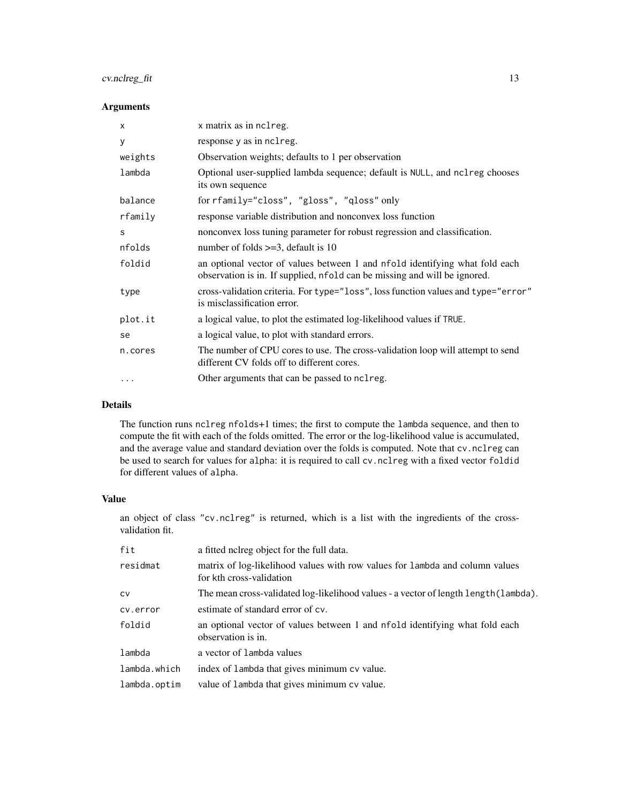### cv.nclreg\_fit 13

### Arguments

| X         | x matrix as in nclreg.                                                                                                                                   |
|-----------|----------------------------------------------------------------------------------------------------------------------------------------------------------|
| У         | response y as in nclreg.                                                                                                                                 |
| weights   | Observation weights; defaults to 1 per observation                                                                                                       |
| lambda    | Optional user-supplied lambda sequence; default is NULL, and nclreg chooses<br>its own sequence                                                          |
| balance   | for rfamily="closs", "gloss", "qloss" only                                                                                                               |
| rfamily   | response variable distribution and nonconvex loss function                                                                                               |
| S         | nonconvex loss tuning parameter for robust regression and classification.                                                                                |
| nfolds    | number of folds $>=$ 3, default is 10                                                                                                                    |
| foldid    | an optional vector of values between 1 and nfold identifying what fold each<br>observation is in. If supplied, nfold can be missing and will be ignored. |
| type      | cross-validation criteria. For type="loss", loss function values and type="error"<br>is misclassification error.                                         |
| plot.it   | a logical value, to plot the estimated log-likelihood values if TRUE.                                                                                    |
| se        | a logical value, to plot with standard errors.                                                                                                           |
| n.cores   | The number of CPU cores to use. The cross-validation loop will attempt to send<br>different CV folds off to different cores.                             |
| $\ddotsc$ | Other arguments that can be passed to nclreg.                                                                                                            |

### Details

The function runs nclreg nfolds+1 times; the first to compute the lambda sequence, and then to compute the fit with each of the folds omitted. The error or the log-likelihood value is accumulated, and the average value and standard deviation over the folds is computed. Note that cv.nclreg can be used to search for values for alpha: it is required to call cv.nclreg with a fixed vector foldid for different values of alpha.

### Value

an object of class "cv.nclreg" is returned, which is a list with the ingredients of the crossvalidation fit.

| fit          | a fitted noireg object for the full data.                                                                |
|--------------|----------------------------------------------------------------------------------------------------------|
| residmat     | matrix of log-likelihood values with row values for lambda and column values<br>for kth cross-validation |
| <b>CV</b>    | The mean cross-validated log-likelihood values - a vector of length length (lambda).                     |
| cv.error     | estimate of standard error of cv.                                                                        |
| foldid       | an optional vector of values between 1 and nfold identifying what fold each<br>observation is in.        |
| lambda       | a vector of lambda values                                                                                |
| lambda.which | index of lambda that gives minimum cv value.                                                             |
| lambda.optim | value of lambda that gives minimum cv value.                                                             |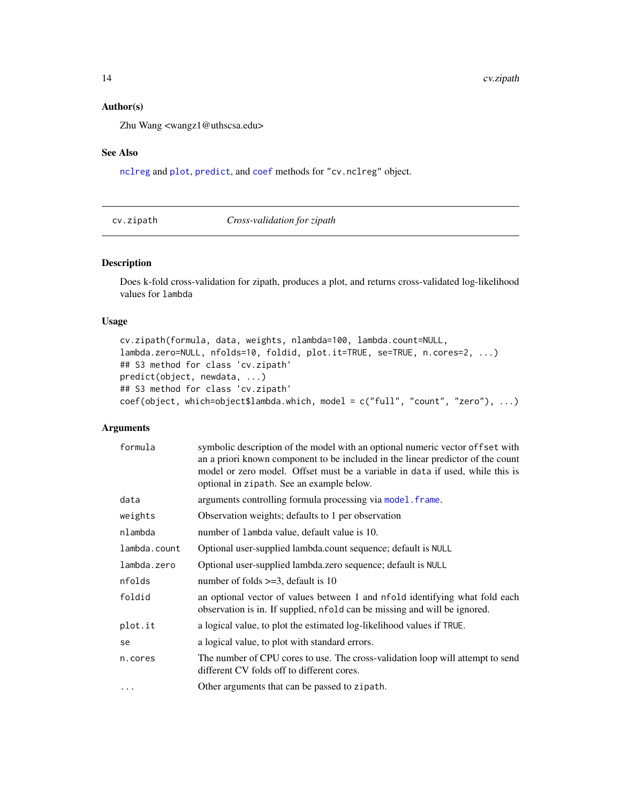### <span id="page-13-0"></span>Author(s)

Zhu Wang <wangz1@uthscsa.edu>

### See Also

[nclreg](#page-29-1) and [plot](#page-0-0), [predict](#page-0-0), and [coef](#page-0-0) methods for "cv.nclreg" object.

| cv.zipath | Cross-validation for zipath |  |
|-----------|-----------------------------|--|
|-----------|-----------------------------|--|

### Description

Does k-fold cross-validation for zipath, produces a plot, and returns cross-validated log-likelihood values for lambda

### Usage

```
cv.zipath(formula, data, weights, nlambda=100, lambda.count=NULL,
lambda.zero=NULL, nfolds=10, foldid, plot.it=TRUE, se=TRUE, n.cores=2, ...)
## S3 method for class 'cv.zipath'
predict(object, newdata, ...)
## S3 method for class 'cv.zipath'
coef(object, which=object$lambda.which, model = c("full", "count", "zero"), ...)
```

| formula      | symbolic description of the model with an optional numeric vector of fset with<br>an a priori known component to be included in the linear predictor of the count<br>model or zero model. Offset must be a variable in data if used, while this is<br>optional in zipath. See an example below. |
|--------------|-------------------------------------------------------------------------------------------------------------------------------------------------------------------------------------------------------------------------------------------------------------------------------------------------|
| data         | arguments controlling formula processing via model. frame.                                                                                                                                                                                                                                      |
| weights      | Observation weights; defaults to 1 per observation                                                                                                                                                                                                                                              |
| nlambda      | number of lambda value, default value is 10.                                                                                                                                                                                                                                                    |
| lambda.count | Optional user-supplied lambda.count sequence; default is NULL                                                                                                                                                                                                                                   |
| lambda.zero  | Optional user-supplied lambda.zero sequence; default is NULL                                                                                                                                                                                                                                    |
| nfolds       | number of folds $>=$ 3, default is 10                                                                                                                                                                                                                                                           |
| foldid       | an optional vector of values between 1 and nfold identifying what fold each<br>observation is in. If supplied, nfold can be missing and will be ignored.                                                                                                                                        |
| plot.it      | a logical value, to plot the estimated log-likelihood values if TRUE.                                                                                                                                                                                                                           |
| se           | a logical value, to plot with standard errors.                                                                                                                                                                                                                                                  |
| n.cores      | The number of CPU cores to use. The cross-validation loop will attempt to send<br>different CV folds off to different cores.                                                                                                                                                                    |
| $\cdots$     | Other arguments that can be passed to zipath.                                                                                                                                                                                                                                                   |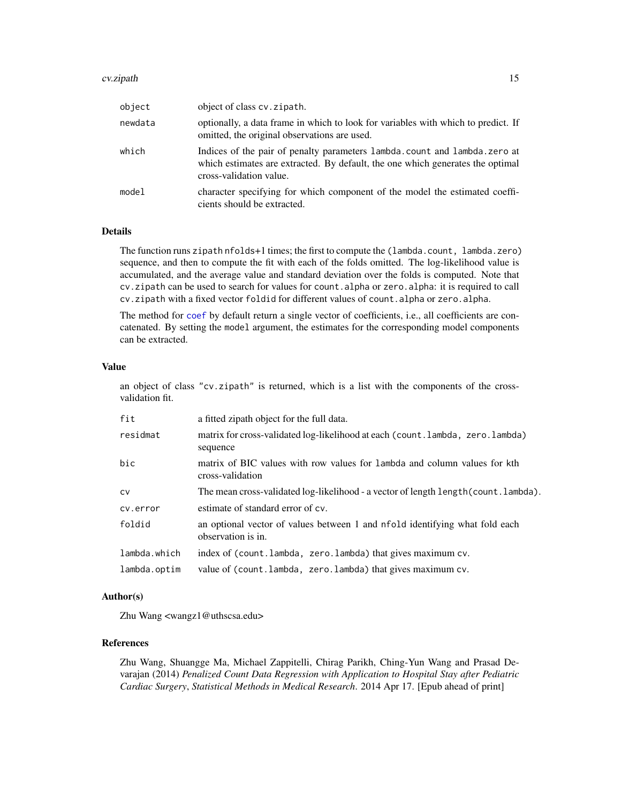#### cv.zipath 15

| object  | object of class cv. zipath.                                                                                                                                                            |
|---------|----------------------------------------------------------------------------------------------------------------------------------------------------------------------------------------|
| newdata | optionally, a data frame in which to look for variables with which to predict. If<br>omitted, the original observations are used.                                                      |
| which   | Indices of the pair of penalty parameters lambda.count and lambda.zero at<br>which estimates are extracted. By default, the one which generates the optimal<br>cross-validation value. |
| model   | character specifying for which component of the model the estimated coeffi-<br>cients should be extracted.                                                                             |

### Details

The function runs zipath nfolds+1 times; the first to compute the (lambda.count, lambda.zero) sequence, and then to compute the fit with each of the folds omitted. The log-likelihood value is accumulated, and the average value and standard deviation over the folds is computed. Note that cv.zipath can be used to search for values for count.alpha or zero.alpha: it is required to call cv.zipath with a fixed vector foldid for different values of count.alpha or zero.alpha.

The method for [coef](#page-0-0) by default return a single vector of coefficients, i.e., all coefficients are concatenated. By setting the model argument, the estimates for the corresponding model components can be extracted.

### Value

an object of class "cv.zipath" is returned, which is a list with the components of the crossvalidation fit.

| fit          | a fitted zipath object for the full data.                                                         |  |
|--------------|---------------------------------------------------------------------------------------------------|--|
| residmat     | matrix for cross-validated log-likelihood at each (count.lambda, zero.lambda)<br>sequence         |  |
| bic          | matrix of BIC values with row values for lambda and column values for kth<br>cross-validation     |  |
| <b>CV</b>    | The mean cross-validated log-likelihood - a vector of length length (count. lambda).              |  |
| cv.error     | estimate of standard error of cv.                                                                 |  |
| foldid       | an optional vector of values between 1 and nfold identifying what fold each<br>observation is in. |  |
| lambda.which | index of (count.lambda, zero.lambda) that gives maximum cv.                                       |  |
| lambda.optim | value of (count.lambda, zero.lambda) that gives maximum cv.                                       |  |

### Author(s)

Zhu Wang <wangz1@uthscsa.edu>

### References

Zhu Wang, Shuangge Ma, Michael Zappitelli, Chirag Parikh, Ching-Yun Wang and Prasad Devarajan (2014) *Penalized Count Data Regression with Application to Hospital Stay after Pediatric Cardiac Surgery*, *Statistical Methods in Medical Research*. 2014 Apr 17. [Epub ahead of print]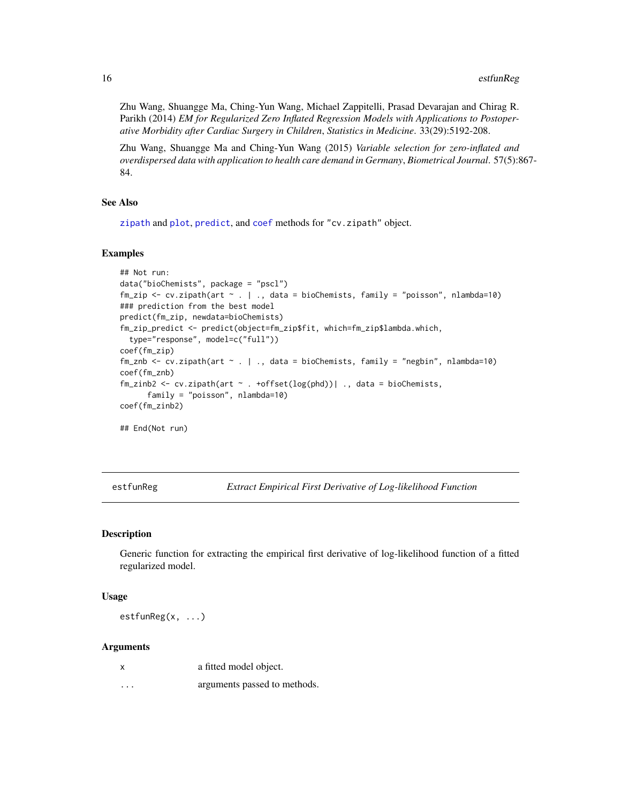<span id="page-15-0"></span>Zhu Wang, Shuangge Ma, Ching-Yun Wang, Michael Zappitelli, Prasad Devarajan and Chirag R. Parikh (2014) *EM for Regularized Zero Inflated Regression Models with Applications to Postoperative Morbidity after Cardiac Surgery in Children*, *Statistics in Medicine*. 33(29):5192-208.

Zhu Wang, Shuangge Ma and Ching-Yun Wang (2015) *Variable selection for zero-inflated and overdispersed data with application to health care demand in Germany*, *Biometrical Journal*. 57(5):867- 84.

#### See Also

[zipath](#page-47-1) and [plot](#page-0-0), [predict](#page-0-0), and [coef](#page-0-0) methods for "cv.zipath" object.

#### Examples

```
## Not run:
data("bioChemists", package = "pscl")
fm_zip <- cv.zipath(art ~ . | ., data = bioChemists, family = "poisson", nlambda=10)
### prediction from the best model
predict(fm_zip, newdata=bioChemists)
fm_zip_predict <- predict(object=fm_zip$fit, which=fm_zip$lambda.which,
 type="response", model=c("full"))
coef(fm_zip)
fm_znb <- cv.zipath(art \sim . | ., data = bioChemists, family = "negbin", nlambda=10)
coef(fm_znb)
fm\_zinh2 \leftarrow cv.zipath(art \sim .+offset(log(phd))| ., data = bioChemists,family = "poisson", nlambda=10)
coef(fm_zinb2)
## End(Not run)
```
<span id="page-15-1"></span>estfunReg *Extract Empirical First Derivative of Log-likelihood Function*

#### Description

Generic function for extracting the empirical first derivative of log-likelihood function of a fitted regularized model.

#### Usage

estfunReg(x, ...)

|          | a fitted model object.       |
|----------|------------------------------|
| $\cdots$ | arguments passed to methods. |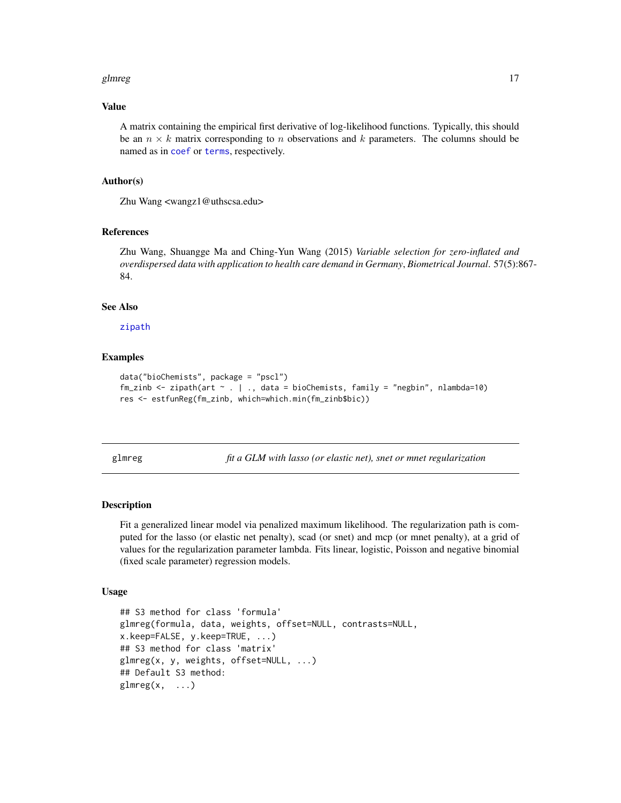#### <span id="page-16-0"></span>glmreg to the state of the state of the state of the state of the state of the state of the state of the state of the state of the state of the state of the state of the state of the state of the state of the state of the

#### Value

A matrix containing the empirical first derivative of log-likelihood functions. Typically, this should be an  $n \times k$  matrix corresponding to n observations and k parameters. The columns should be named as in [coef](#page-0-0) or [terms](#page-0-0), respectively.

#### Author(s)

Zhu Wang <wangz1@uthscsa.edu>

#### References

Zhu Wang, Shuangge Ma and Ching-Yun Wang (2015) *Variable selection for zero-inflated and overdispersed data with application to health care demand in Germany*, *Biometrical Journal*. 57(5):867- 84.

### See Also

[zipath](#page-47-1)

### Examples

```
data("bioChemists", package = "pscl")
fm_zinb \le zipath(art \le . | ., data = bioChemists, family = "negbin", nlambda=10)
res <- estfunReg(fm_zinb, which=which.min(fm_zinb$bic))
```
<span id="page-16-1"></span>glmreg *fit a GLM with lasso (or elastic net), snet or mnet regularization*

#### Description

Fit a generalized linear model via penalized maximum likelihood. The regularization path is computed for the lasso (or elastic net penalty), scad (or snet) and mcp (or mnet penalty), at a grid of values for the regularization parameter lambda. Fits linear, logistic, Poisson and negative binomial (fixed scale parameter) regression models.

#### Usage

```
## S3 method for class 'formula'
glmreg(formula, data, weights, offset=NULL, contrasts=NULL,
x.keep=FALSE, y.keep=TRUE, ...)
## S3 method for class 'matrix'
glmreg(x, y, weights, offset=NULL, ...)
## Default S3 method:
glmreg(x, \ldots)
```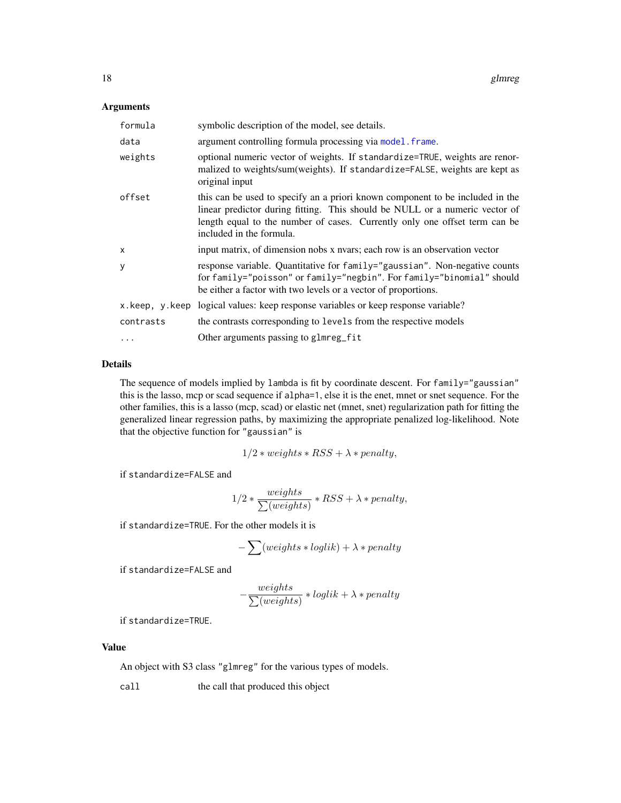### <span id="page-17-0"></span>Arguments

| formula   | symbolic description of the model, see details.                                                                                                                                                                                                                        |
|-----------|------------------------------------------------------------------------------------------------------------------------------------------------------------------------------------------------------------------------------------------------------------------------|
| data      | argument controlling formula processing via model. frame.                                                                                                                                                                                                              |
| weights   | optional numeric vector of weights. If standardize=TRUE, weights are renor-<br>malized to weights/sum(weights). If standardize=FALSE, weights are kept as<br>original input                                                                                            |
| offset    | this can be used to specify an a priori known component to be included in the<br>linear predictor during fitting. This should be NULL or a numeric vector of<br>length equal to the number of cases. Currently only one offset term can be<br>included in the formula. |
| x         | input matrix, of dimension nobs x nvars; each row is an observation vector                                                                                                                                                                                             |
| У         | response variable. Quantitative for family="gaussian". Non-negative counts<br>for family="poisson" or family="negbin". For family="binomial" should<br>be either a factor with two levels or a vector of proportions.                                                  |
|           | x. keep, y. keep logical values: keep response variables or keep response variable?                                                                                                                                                                                    |
| contrasts | the contrasts corresponding to levels from the respective models                                                                                                                                                                                                       |
| .         | Other arguments passing to glmreg_fit                                                                                                                                                                                                                                  |

#### Details

The sequence of models implied by lambda is fit by coordinate descent. For family="gaussian" this is the lasso, mcp or scad sequence if alpha=1, else it is the enet, mnet or snet sequence. For the other families, this is a lasso (mcp, scad) or elastic net (mnet, snet) regularization path for fitting the generalized linear regression paths, by maximizing the appropriate penalized log-likelihood. Note that the objective function for "gaussian" is

$$
1/2 * weights * RSS + \lambda * penalty,
$$

if standardize=FALSE and

$$
1/2 * \frac{weights}{\sum (weights)} * RSS + \lambda * penalty,
$$

if standardize=TRUE. For the other models it is

$$
-\sum (weights * loglik) + \lambda * penalty
$$

if standardize=FALSE and

$$
-\frac{weights}{\sum (weights)} * loglik + \lambda * penalty
$$

if standardize=TRUE.

### Value

An object with S3 class "glmreg" for the various types of models.

call the call that produced this object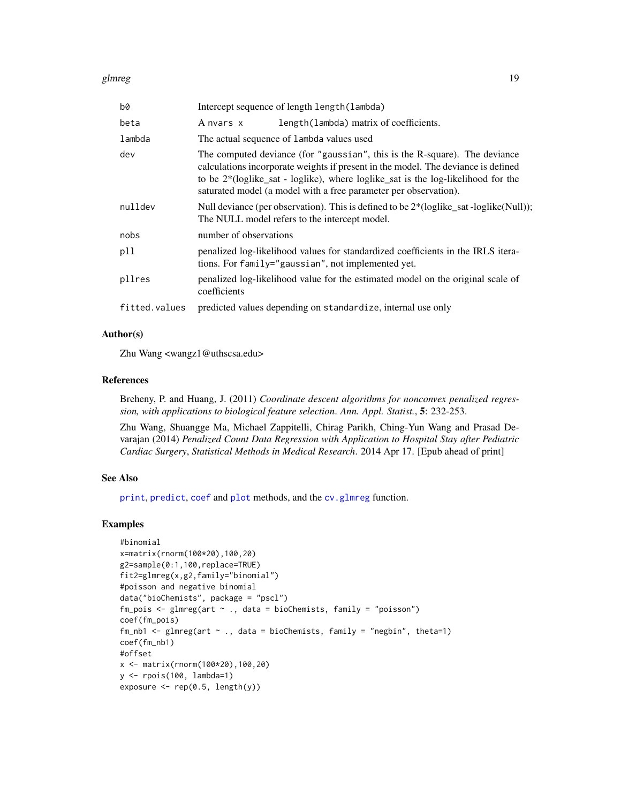#### <span id="page-18-0"></span>glmreg to the state of the state of the state of the state of the state of the state of the state of the state of the state of the state of the state of the state of the state of the state of the state of the state of the

| b0            | Intercept sequence of length length (lambda)                                                                                                                                                                                                                                                                                   |  |
|---------------|--------------------------------------------------------------------------------------------------------------------------------------------------------------------------------------------------------------------------------------------------------------------------------------------------------------------------------|--|
| beta          | length (lambda) matrix of coefficients.<br>A nvars x                                                                                                                                                                                                                                                                           |  |
| lambda        | The actual sequence of lambda values used                                                                                                                                                                                                                                                                                      |  |
| dev           | The computed deviance (for "gaussian", this is the R-square). The deviance<br>calculations incorporate weights if present in the model. The deviance is defined<br>to be $2*(loglike_sat - loglike)$ , where $loglike_sat$ is the $log-likelihood$ for the<br>saturated model (a model with a free parameter per observation). |  |
| nulldev       | Null deviance (per observation). This is defined to be $2^*$ (loglike_sat -loglike (Null));<br>The NULL model refers to the intercept model.                                                                                                                                                                                   |  |
| nobs          | number of observations                                                                                                                                                                                                                                                                                                         |  |
| pll           | penalized log-likelihood values for standardized coefficients in the IRLS itera-<br>tions. For family="gaussian", not implemented yet.                                                                                                                                                                                         |  |
| pllres        | penalized log-likelihood value for the estimated model on the original scale of<br>coefficients                                                                                                                                                                                                                                |  |
| fitted.values | predicted values depending on standardize, internal use only                                                                                                                                                                                                                                                                   |  |

### Author(s)

Zhu Wang <wangz1@uthscsa.edu>

#### References

Breheny, P. and Huang, J. (2011) *Coordinate descent algorithms for nonconvex penalized regression, with applications to biological feature selection*. *Ann. Appl. Statist.*, 5: 232-253.

Zhu Wang, Shuangge Ma, Michael Zappitelli, Chirag Parikh, Ching-Yun Wang and Prasad Devarajan (2014) *Penalized Count Data Regression with Application to Hospital Stay after Pediatric Cardiac Surgery*, *Statistical Methods in Medical Research*. 2014 Apr 17. [Epub ahead of print]

### See Also

[print](#page-0-0), [predict](#page-0-0), [coef](#page-0-0) and [plot](#page-0-0) methods, and the [cv.glmreg](#page-4-1) function.

### Examples

```
#binomial
x=matrix(rnorm(100*20),100,20)
g2=sample(0:1,100,replace=TRUE)
fit2=glmreg(x,g2,family="binomial")
#poisson and negative binomial
data("bioChemists", package = "pscl")
fm_pois <- glmreg(art \sim ., data = bioChemists, family = "poisson")
coef(fm_pois)
fm_nb1 <- glmreg(art \sim ., data = bioChemists, family = "negbin", theta=1)
coef(fm_nb1)
#offset
x <- matrix(rnorm(100*20),100,20)
y <- rpois(100, lambda=1)
exposure \leq rep(0.5, length(y))
```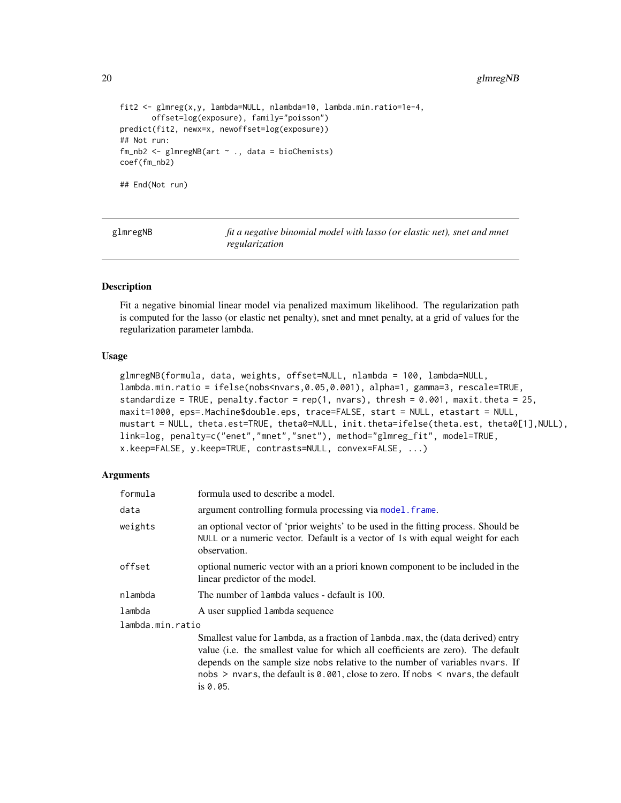### <span id="page-19-0"></span>20 glmregNB

```
fit2 <- glmreg(x,y, lambda=NULL, nlambda=10, lambda.min.ratio=1e-4,
       offset=log(exposure), family="poisson")
predict(fit2, newx=x, newoffset=log(exposure))
## Not run:
fm_{nb2} < - glmregNB(art \sim ., data = bioChemists)
coef(fm_nb2)
## End(Not run)
```
<span id="page-19-1"></span>

glmregNB *fit a negative binomial model with lasso (or elastic net), snet and mnet regularization*

#### **Description**

Fit a negative binomial linear model via penalized maximum likelihood. The regularization path is computed for the lasso (or elastic net penalty), snet and mnet penalty, at a grid of values for the regularization parameter lambda.

#### Usage

```
glmregNB(formula, data, weights, offset=NULL, nlambda = 100, lambda=NULL,
lambda.min.ratio = ifelse(nobs<nvars,0.05,0.001), alpha=1, gamma=3, rescale=TRUE,
standardize = TRUE, penalty.factor = rep(1, nvars), thresh = 0.001, maxit.theta = 25,
maxit=1000, eps=.Machine$double.eps, trace=FALSE, start = NULL, etastart = NULL,
mustart = NULL, theta.est=TRUE, theta0=NULL, init.theta=ifelse(theta.est, theta0[1],NULL),
link=log, penalty=c("enet","mnet","snet"), method="glmreg_fit", model=TRUE,
x.keep=FALSE, y.keep=TRUE, contrasts=NULL, convex=FALSE, ...)
```
### Arguments

| formula          | formula used to describe a model.                                                                                                                                                    |
|------------------|--------------------------------------------------------------------------------------------------------------------------------------------------------------------------------------|
| data             | argument controlling formula processing via model. frame.                                                                                                                            |
| weights          | an optional vector of 'prior weights' to be used in the fitting process. Should be<br>NULL or a numeric vector. Default is a vector of 1s with equal weight for each<br>observation. |
| offset           | optional numeric vector with an a priori known component to be included in the<br>linear predictor of the model.                                                                     |
| nlambda          | The number of lambda values - default is 100.                                                                                                                                        |
| lambda           | A user supplied lambda sequence                                                                                                                                                      |
| lambda.min.ratio |                                                                                                                                                                                      |

Smallest value for lambda, as a fraction of lambda.max, the (data derived) entry value (i.e. the smallest value for which all coefficients are zero). The default depends on the sample size nobs relative to the number of variables nvars. If nobs > nvars, the default is 0.001, close to zero. If nobs < nvars, the default is 0.05.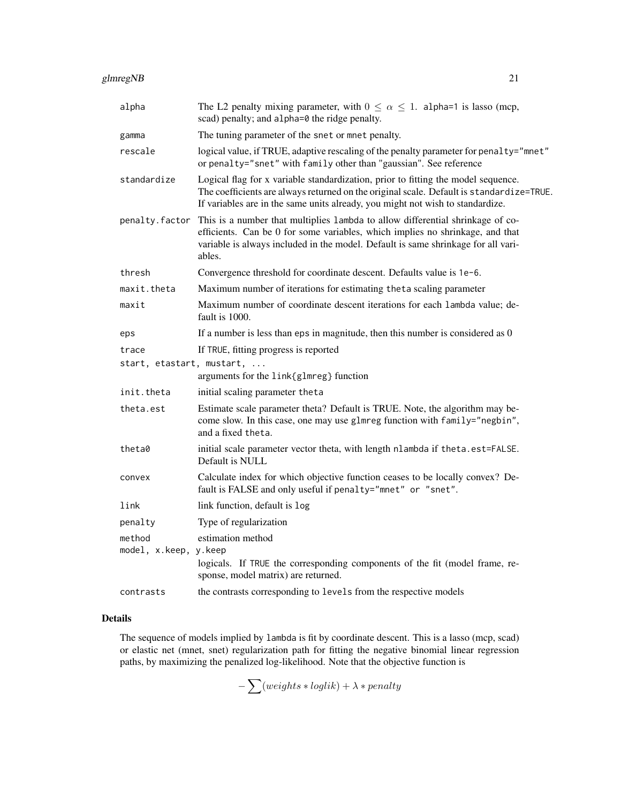| alpha                           | The L2 penalty mixing parameter, with $0 \le \alpha \le 1$ . alpha=1 is lasso (mcp,<br>scad) penalty; and alpha=0 the ridge penalty.                                                                                                                            |  |
|---------------------------------|-----------------------------------------------------------------------------------------------------------------------------------------------------------------------------------------------------------------------------------------------------------------|--|
| gamma                           | The tuning parameter of the snet or mnet penalty.                                                                                                                                                                                                               |  |
| rescale                         | logical value, if TRUE, adaptive rescaling of the penalty parameter for penalty="mnet"<br>or penalty="snet" with family other than "gaussian". See reference                                                                                                    |  |
| standardize                     | Logical flag for x variable standardization, prior to fitting the model sequence.<br>The coefficients are always returned on the original scale. Default is standardize=TRUE.<br>If variables are in the same units already, you might not wish to standardize. |  |
| penalty.factor                  | This is a number that multiplies lambda to allow differential shrinkage of co-<br>efficients. Can be 0 for some variables, which implies no shrinkage, and that<br>variable is always included in the model. Default is same shrinkage for all vari-<br>ables.  |  |
| thresh                          | Convergence threshold for coordinate descent. Defaults value is 1e-6.                                                                                                                                                                                           |  |
| maxit.theta                     | Maximum number of iterations for estimating theta scaling parameter                                                                                                                                                                                             |  |
| maxit                           | Maximum number of coordinate descent iterations for each lambda value; de-<br>fault is 1000.                                                                                                                                                                    |  |
| eps                             | If a number is less than eps in magnitude, then this number is considered as $0$                                                                                                                                                                                |  |
| trace                           | If TRUE, fitting progress is reported                                                                                                                                                                                                                           |  |
| start, etastart, mustart,       | arguments for the link{glmreg} function                                                                                                                                                                                                                         |  |
| init.theta                      | initial scaling parameter theta                                                                                                                                                                                                                                 |  |
| theta.est                       | Estimate scale parameter theta? Default is TRUE. Note, the algorithm may be-<br>come slow. In this case, one may use glmreg function with family="negbin",<br>and a fixed theta.                                                                                |  |
| theta0                          | initial scale parameter vector theta, with length nlambda if theta.est=FALSE.<br>Default is NULL                                                                                                                                                                |  |
| convex                          | Calculate index for which objective function ceases to be locally convex? De-<br>fault is FALSE and only useful if penalty="mnet" or "snet".                                                                                                                    |  |
| link                            | link function, default is log                                                                                                                                                                                                                                   |  |
| penalty                         | Type of regularization                                                                                                                                                                                                                                          |  |
| method<br>model, x.keep, y.keep | estimation method<br>logicals. If TRUE the corresponding components of the fit (model frame, re-<br>sponse, model matrix) are returned.                                                                                                                         |  |
| contrasts                       | the contrasts corresponding to levels from the respective models                                                                                                                                                                                                |  |

The sequence of models implied by lambda is fit by coordinate descent. This is a lasso (mcp, scad) or elastic net (mnet, snet) regularization path for fitting the negative binomial linear regression paths, by maximizing the penalized log-likelihood. Note that the objective function is

 $-\sum (weights * loglik) + \lambda * penalty$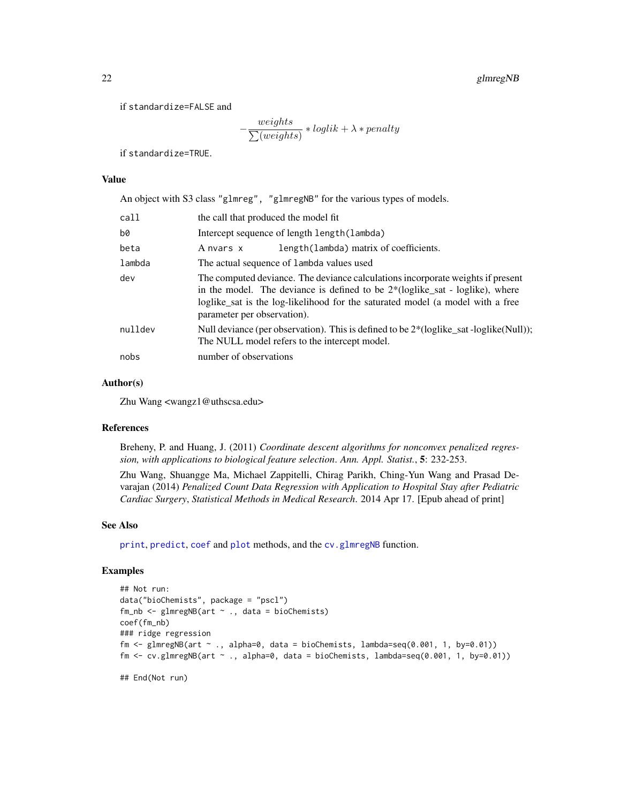<span id="page-21-0"></span>if standardize=FALSE and

$$
-\frac{weights}{\sum (weights)} * loglik + \lambda * penalty
$$

if standardize=TRUE.

### Value

An object with S3 class "glmreg", "glmregNB" for the various types of models.

| call    | the call that produced the model fit                                                                                                                                                                                                                                                |  |
|---------|-------------------------------------------------------------------------------------------------------------------------------------------------------------------------------------------------------------------------------------------------------------------------------------|--|
| b0      | Intercept sequence of length length (lambda)                                                                                                                                                                                                                                        |  |
| beta    | length (lambda) matrix of coefficients.<br>A nvars x                                                                                                                                                                                                                                |  |
| lambda  | The actual sequence of lambda values used                                                                                                                                                                                                                                           |  |
| dev     | The computed deviance. The deviance calculations incorporate weights if present<br>in the model. The deviance is defined to be $2*(loglike_sat - loglike)$ , where<br>loglike_sat is the log-likelihood for the saturated model (a model with a free<br>parameter per observation). |  |
| nulldev | Null deviance (per observation). This is defined to be 2*(loglike_sat -loglike(Null));<br>The NULL model refers to the intercept model.                                                                                                                                             |  |
| nobs    | number of observations                                                                                                                                                                                                                                                              |  |

### Author(s)

Zhu Wang <wangz1@uthscsa.edu>

#### References

Breheny, P. and Huang, J. (2011) *Coordinate descent algorithms for nonconvex penalized regression, with applications to biological feature selection*. *Ann. Appl. Statist.*, 5: 232-253.

Zhu Wang, Shuangge Ma, Michael Zappitelli, Chirag Parikh, Ching-Yun Wang and Prasad Devarajan (2014) *Penalized Count Data Regression with Application to Hospital Stay after Pediatric Cardiac Surgery*, *Statistical Methods in Medical Research*. 2014 Apr 17. [Epub ahead of print]

### See Also

[print](#page-0-0), [predict](#page-0-0), [coef](#page-0-0) and [plot](#page-0-0) methods, and the [cv.glmregNB](#page-6-1) function.

#### Examples

```
## Not run:
data("bioChemists", package = "pscl")
fm_nb <- glmregNB(art ~ ., data = bioChemists)
coef(fm_nb)
### ridge regression
fm \le glmregNB(art \sim ., alpha=0, data = bioChemists, lambda=seq(0.001, 1, by=0.01))
fm \leq cv.glmregNB(art \sim ., alpha=0, data = bioChemists, lambda=seq(0.001, 1, by=0.01))
```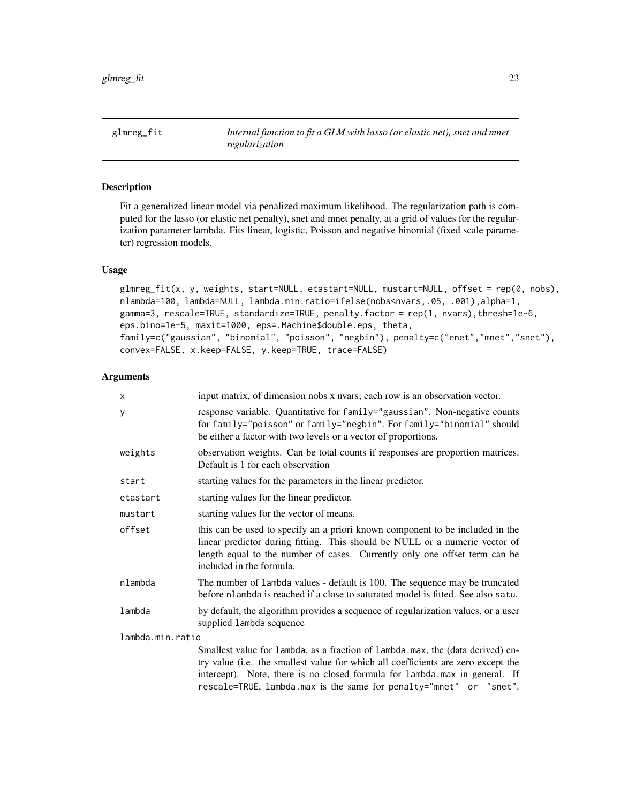<span id="page-22-0"></span>glmreg\_fit *Internal function to fit a GLM with lasso (or elastic net), snet and mnet regularization*

### Description

Fit a generalized linear model via penalized maximum likelihood. The regularization path is computed for the lasso (or elastic net penalty), snet and mnet penalty, at a grid of values for the regularization parameter lambda. Fits linear, logistic, Poisson and negative binomial (fixed scale parameter) regression models.

#### Usage

```
glmreg_fit(x, y, weights, start=NULL, etastart=NULL, mustart=NULL, offset = rep(0, nobs),
nlambda=100, lambda=NULL, lambda.min.ratio=ifelse(nobs<nvars,.05, .001),alpha=1,
gamma=3, rescale=TRUE, standardize=TRUE, penalty.factor = rep(1, nvars),thresh=1e-6,
eps.bino=1e-5, maxit=1000, eps=.Machine$double.eps, theta,
family=c("gaussian", "binomial", "poisson", "negbin"), penalty=c("enet","mnet","snet"),
convex=FALSE, x.keep=FALSE, y.keep=TRUE, trace=FALSE)
```

| x                | input matrix, of dimension nobs x nvars; each row is an observation vector.                                                                                                                                                                                                                                             |  |
|------------------|-------------------------------------------------------------------------------------------------------------------------------------------------------------------------------------------------------------------------------------------------------------------------------------------------------------------------|--|
| У                | response variable. Quantitative for family="gaussian". Non-negative counts<br>for family="poisson" or family="negbin". For family="binomial" should<br>be either a factor with two levels or a vector of proportions.                                                                                                   |  |
| weights          | observation weights. Can be total counts if responses are proportion matrices.<br>Default is 1 for each observation                                                                                                                                                                                                     |  |
| start            | starting values for the parameters in the linear predictor.                                                                                                                                                                                                                                                             |  |
| etastart         | starting values for the linear predictor.                                                                                                                                                                                                                                                                               |  |
| mustart          | starting values for the vector of means.                                                                                                                                                                                                                                                                                |  |
| offset           | this can be used to specify an a priori known component to be included in the<br>linear predictor during fitting. This should be NULL or a numeric vector of<br>length equal to the number of cases. Currently only one offset term can be<br>included in the formula.                                                  |  |
| nlambda          | The number of lambda values - default is 100. The sequence may be truncated<br>before nlambda is reached if a close to saturated model is fitted. See also satu.                                                                                                                                                        |  |
| lambda           | by default, the algorithm provides a sequence of regularization values, or a user<br>supplied lambda sequence                                                                                                                                                                                                           |  |
| lambda.min.ratio |                                                                                                                                                                                                                                                                                                                         |  |
|                  | Smallest value for lambda, as a fraction of lambda max, the (data derived) en-<br>try value (i.e. the smallest value for which all coefficients are zero except the<br>intercept). Note, there is no closed formula for lambda.max in general. If<br>rescale=TRUE, lambda.max is the same for penalty="mnet" or "snet". |  |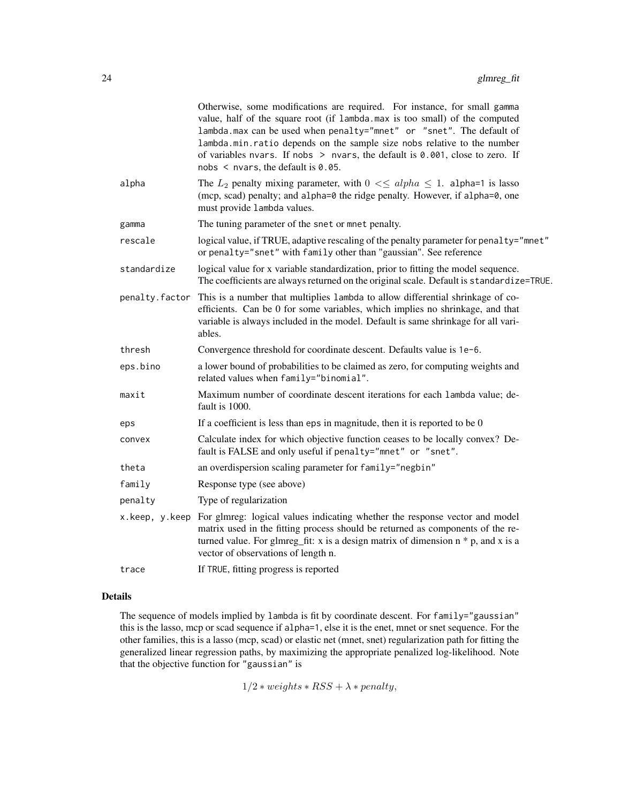|                | Otherwise, some modifications are required. For instance, for small gamma<br>value, half of the square root (if lambda.max is too small) of the computed<br>lambda.max can be used when penalty="mnet" or "snet". The default of<br>lambda.min.ratio depends on the sample size nobs relative to the number<br>of variables nvars. If nobs $>$ nvars, the default is 0.001, close to zero. If<br>nobs $\leq$ nvars, the default is 0.05. |
|----------------|------------------------------------------------------------------------------------------------------------------------------------------------------------------------------------------------------------------------------------------------------------------------------------------------------------------------------------------------------------------------------------------------------------------------------------------|
| alpha          | The $L_2$ penalty mixing parameter, with $0 \leq \leq \alpha$ l $h_a \leq 1$ . alpha=1 is lasso<br>(mcp, scad) penalty; and alpha=0 the ridge penalty. However, if alpha=0, one<br>must provide lambda values.                                                                                                                                                                                                                           |
| gamma          | The tuning parameter of the snet or mnet penalty.                                                                                                                                                                                                                                                                                                                                                                                        |
| rescale        | logical value, if TRUE, adaptive rescaling of the penalty parameter for penalty="mnet"<br>or penalty="snet" with family other than "gaussian". See reference                                                                                                                                                                                                                                                                             |
| standardize    | logical value for x variable standardization, prior to fitting the model sequence.<br>The coefficients are always returned on the original scale. Default is standardize=TRUE.                                                                                                                                                                                                                                                           |
| penalty.factor | This is a number that multiplies 1 ambda to allow differential shrinkage of co-<br>efficients. Can be 0 for some variables, which implies no shrinkage, and that<br>variable is always included in the model. Default is same shrinkage for all vari-<br>ables.                                                                                                                                                                          |
| thresh         | Convergence threshold for coordinate descent. Defaults value is 1e-6.                                                                                                                                                                                                                                                                                                                                                                    |
| eps.bino       | a lower bound of probabilities to be claimed as zero, for computing weights and<br>related values when family="binomial".                                                                                                                                                                                                                                                                                                                |
| maxit          | Maximum number of coordinate descent iterations for each lambda value; de-<br>fault is 1000.                                                                                                                                                                                                                                                                                                                                             |
| eps            | If a coefficient is less than eps in magnitude, then it is reported to be $0$                                                                                                                                                                                                                                                                                                                                                            |
| convex         | Calculate index for which objective function ceases to be locally convex? De-<br>fault is FALSE and only useful if penalty="mnet" or "snet".                                                                                                                                                                                                                                                                                             |
| theta          | an overdispersion scaling parameter for family="negbin"                                                                                                                                                                                                                                                                                                                                                                                  |
| family         | Response type (see above)                                                                                                                                                                                                                                                                                                                                                                                                                |
| penalty        | Type of regularization                                                                                                                                                                                                                                                                                                                                                                                                                   |
| x.keep, y.keep | For glmreg: logical values indicating whether the response vector and model<br>matrix used in the fitting process should be returned as components of the re-<br>turned value. For glmreg_fit: x is a design matrix of dimension $n * p$ , and x is a<br>vector of observations of length n.                                                                                                                                             |
| trace          | If TRUE, fitting progress is reported                                                                                                                                                                                                                                                                                                                                                                                                    |
|                |                                                                                                                                                                                                                                                                                                                                                                                                                                          |

The sequence of models implied by lambda is fit by coordinate descent. For family="gaussian" this is the lasso, mcp or scad sequence if alpha=1, else it is the enet, mnet or snet sequence. For the other families, this is a lasso (mcp, scad) or elastic net (mnet, snet) regularization path for fitting the generalized linear regression paths, by maximizing the appropriate penalized log-likelihood. Note that the objective function for "gaussian" is

 $1/2 * weights * RSS + \lambda * penalty,$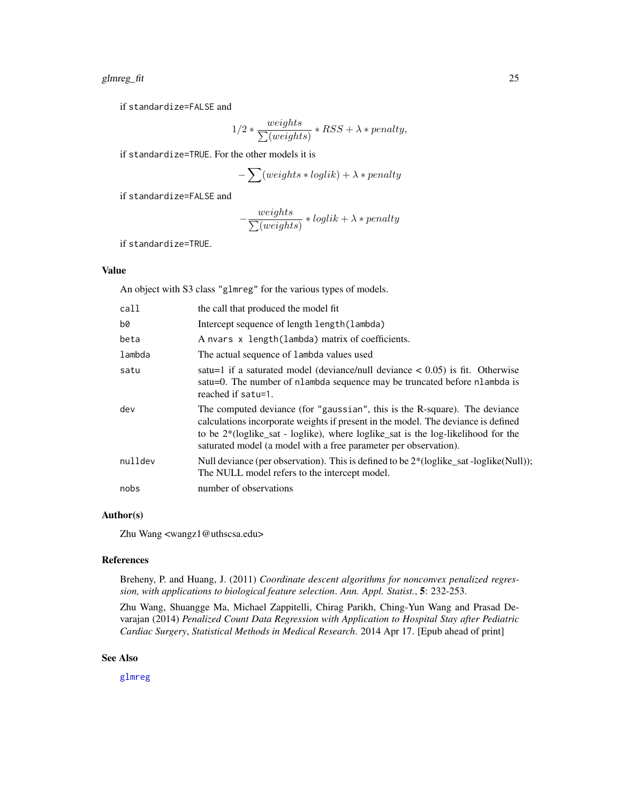### <span id="page-24-0"></span>glmreg\_fit 25

if standardize=FALSE and

$$
1/2 * \frac{weights}{\sum (weights)} * RSS + \lambda * penalty,
$$

if standardize=TRUE. For the other models it is

$$
-\sum (weights * loglik) + \lambda * penalty
$$

if standardize=FALSE and

$$
-\frac{weights}{\sum (weights)} * log lik + \lambda * penalty
$$

if standardize=TRUE.

#### Value

An object with S3 class "glmreg" for the various types of models.

| call    | the call that produced the model fit                                                                                                                                                                                                                                                                                           |
|---------|--------------------------------------------------------------------------------------------------------------------------------------------------------------------------------------------------------------------------------------------------------------------------------------------------------------------------------|
| b0      | Intercept sequence of length length (lambda)                                                                                                                                                                                                                                                                                   |
| beta    | A nvars x length(lambda) matrix of coefficients.                                                                                                                                                                                                                                                                               |
| lambda  | The actual sequence of lambda values used                                                                                                                                                                                                                                                                                      |
| satu    | satu=1 if a saturated model (deviance/null deviance $< 0.05$ ) is fit. Otherwise<br>satu=0. The number of nlambda sequence may be truncated before nlambda is<br>reached if satu=1.                                                                                                                                            |
| dev     | The computed deviance (for "gaussian", this is the R-square). The deviance<br>calculations incorporate weights if present in the model. The deviance is defined<br>to be $2*(loglike_sat - loglike)$ , where $loglike_sat$ is the $log-likelihood$ for the<br>saturated model (a model with a free parameter per observation). |
| nulldev | Null deviance (per observation). This is defined to be $2^*$ (loglike_sat -loglike (Null));<br>The NULL model refers to the intercept model.                                                                                                                                                                                   |
| nobs    | number of observations                                                                                                                                                                                                                                                                                                         |

### Author(s)

Zhu Wang <wangz1@uthscsa.edu>

### References

Breheny, P. and Huang, J. (2011) *Coordinate descent algorithms for nonconvex penalized regression, with applications to biological feature selection*. *Ann. Appl. Statist.*, 5: 232-253.

Zhu Wang, Shuangge Ma, Michael Zappitelli, Chirag Parikh, Ching-Yun Wang and Prasad Devarajan (2014) *Penalized Count Data Regression with Application to Hospital Stay after Pediatric Cardiac Surgery*, *Statistical Methods in Medical Research*. 2014 Apr 17. [Epub ahead of print]

#### See Also

[glmreg](#page-16-1)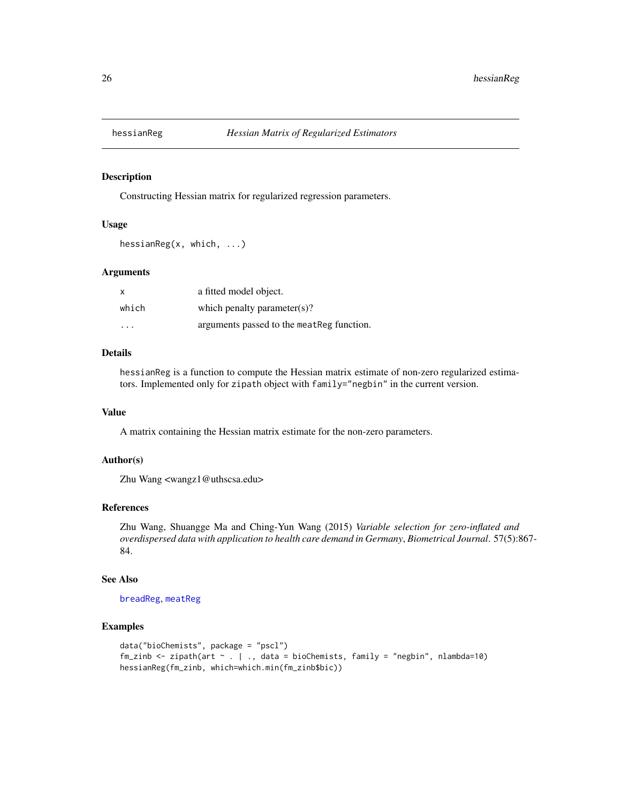<span id="page-25-0"></span>

Constructing Hessian matrix for regularized regression parameters.

#### Usage

```
hessianReg(x, which, ...)
```
#### Arguments

| X        | a fitted model object.                     |
|----------|--------------------------------------------|
| which    | which penalty parameter(s)?                |
| $\cdots$ | arguments passed to the meat Reg function. |

### Details

hessianReg is a function to compute the Hessian matrix estimate of non-zero regularized estimators. Implemented only for zipath object with family="negbin" in the current version.

### Value

A matrix containing the Hessian matrix estimate for the non-zero parameters.

### Author(s)

Zhu Wang <wangz1@uthscsa.edu>

#### References

Zhu Wang, Shuangge Ma and Ching-Yun Wang (2015) *Variable selection for zero-inflated and overdispersed data with application to health care demand in Germany*, *Biometrical Journal*. 57(5):867- 84.

### See Also

[breadReg](#page-2-1), [meatReg](#page-26-1)

#### Examples

```
data("bioChemists", package = "pscl")
fm_zinb <- zipath(art ~ . | ., data = bioChemists, family = "negbin", nlambda=10)
hessianReg(fm_zinb, which=which.min(fm_zinb$bic))
```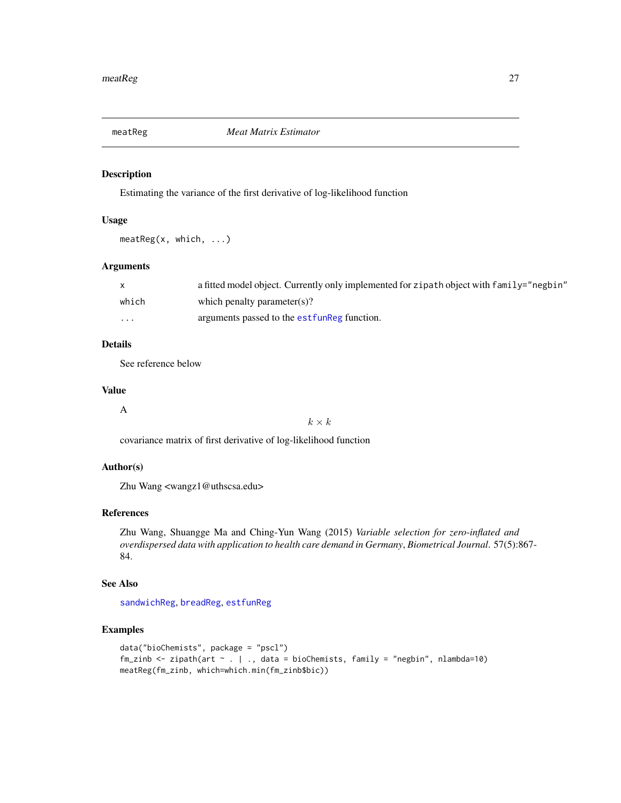<span id="page-26-1"></span><span id="page-26-0"></span>

Estimating the variance of the first derivative of log-likelihood function

### Usage

meatReg(x, which, ...)

### Arguments

|         | a fitted model object. Currently only implemented for zipath object with $fami 1y="neg p$ egbin" |
|---------|--------------------------------------------------------------------------------------------------|
| which   | which penalty parameter(s)?                                                                      |
| $\cdot$ | arguments passed to the est funkeg function.                                                     |

### Details

See reference below

### Value

A

 $k \times k$ 

covariance matrix of first derivative of log-likelihood function

### Author(s)

Zhu Wang <wangz1@uthscsa.edu>

### References

Zhu Wang, Shuangge Ma and Ching-Yun Wang (2015) *Variable selection for zero-inflated and overdispersed data with application to health care demand in Germany*, *Biometrical Journal*. 57(5):867- 84.

### See Also

[sandwichReg](#page-41-1), [breadReg](#page-2-1), [estfunReg](#page-15-1)

### Examples

```
data("bioChemists", package = "pscl")
fm_zinb <- zipath(art ~ . | ., data = bioChemists, family = "negbin", nlambda=10)
meatReg(fm_zinb, which=which.min(fm_zinb$bic))
```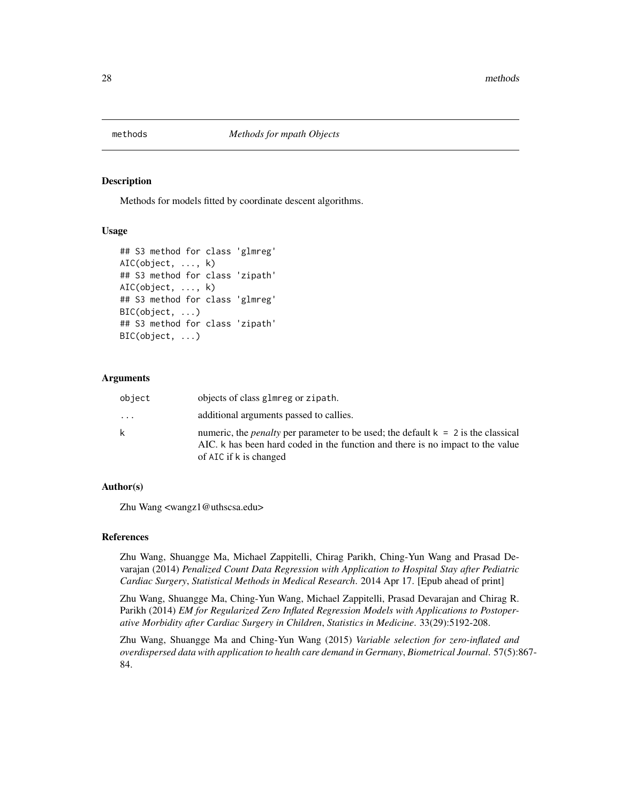<span id="page-27-0"></span>

Methods for models fitted by coordinate descent algorithms.

#### Usage

```
## S3 method for class 'glmreg'
AIC(object, ..., k)
## S3 method for class 'zipath'
AIC(object, ..., k)
## S3 method for class 'glmreg'
BIC(object, ...)
## S3 method for class 'zipath'
BIC(object, ...)
```
### Arguments

| object | objects of class glmreg or zipath.                                                                                                                                                                     |
|--------|--------------------------------------------------------------------------------------------------------------------------------------------------------------------------------------------------------|
| .      | additional arguments passed to callies.                                                                                                                                                                |
| k.     | numeric, the <i>penalty</i> per parameter to be used; the default $k = 2$ is the classical<br>AIC. k has been hard coded in the function and there is no impact to the value<br>of AIC if k is changed |

### Author(s)

Zhu Wang <wangz1@uthscsa.edu>

### References

Zhu Wang, Shuangge Ma, Michael Zappitelli, Chirag Parikh, Ching-Yun Wang and Prasad Devarajan (2014) *Penalized Count Data Regression with Application to Hospital Stay after Pediatric Cardiac Surgery*, *Statistical Methods in Medical Research*. 2014 Apr 17. [Epub ahead of print]

Zhu Wang, Shuangge Ma, Ching-Yun Wang, Michael Zappitelli, Prasad Devarajan and Chirag R. Parikh (2014) *EM for Regularized Zero Inflated Regression Models with Applications to Postoperative Morbidity after Cardiac Surgery in Children*, *Statistics in Medicine*. 33(29):5192-208.

Zhu Wang, Shuangge Ma and Ching-Yun Wang (2015) *Variable selection for zero-inflated and overdispersed data with application to health care demand in Germany*, *Biometrical Journal*. 57(5):867- 84.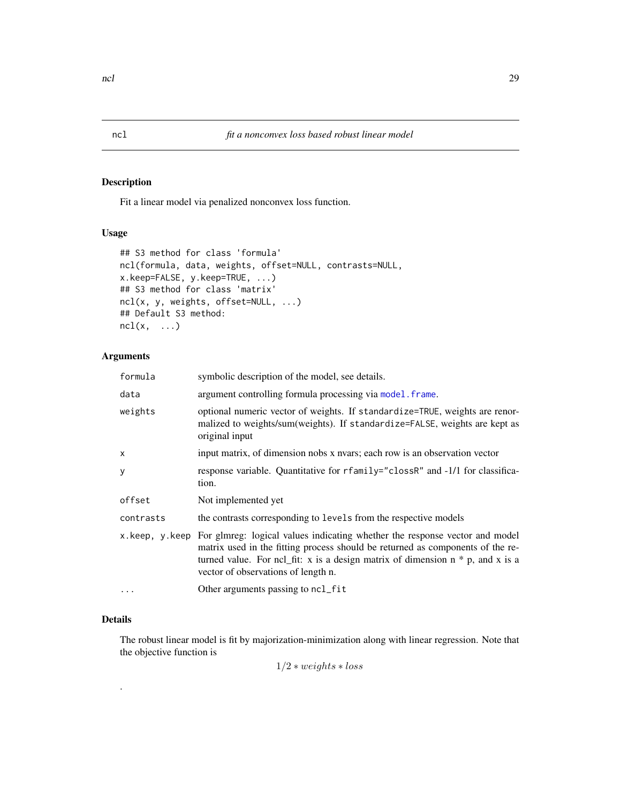Fit a linear model via penalized nonconvex loss function.

### Usage

```
## S3 method for class 'formula'
ncl(formula, data, weights, offset=NULL, contrasts=NULL,
x.keep=FALSE, y.keep=TRUE, ...)
## S3 method for class 'matrix'
ncl(x, y, weights, offset=NULL, ...)
## Default S3 method:
ncl(x, \ldots)
```
### Arguments

| formula   | symbolic description of the model, see details.                                                                                                                                                                                                                                                          |
|-----------|----------------------------------------------------------------------------------------------------------------------------------------------------------------------------------------------------------------------------------------------------------------------------------------------------------|
| data      | argument controlling formula processing via model. frame.                                                                                                                                                                                                                                                |
| weights   | optional numeric vector of weights. If standardize=TRUE, weights are renor-<br>malized to weights/sum(weights). If standardize=FALSE, weights are kept as<br>original input                                                                                                                              |
| x         | input matrix, of dimension nobs x nvars; each row is an observation vector                                                                                                                                                                                                                               |
| y         | response variable. Quantitative for rfamily="clossR" and -1/1 for classifica-<br>tion.                                                                                                                                                                                                                   |
| offset    | Not implemented yet                                                                                                                                                                                                                                                                                      |
| contrasts | the contrasts corresponding to levels from the respective models                                                                                                                                                                                                                                         |
|           | x keep, y keep For glmreg: logical values indicating whether the response vector and model<br>matrix used in the fitting process should be returned as components of the re-<br>turned value. For ncl_fit: x is a design matrix of dimension $n * p$ , and x is a<br>vector of observations of length n. |
| $\cdots$  | Other arguments passing to ncl_fit                                                                                                                                                                                                                                                                       |

### Details

.

The robust linear model is fit by majorization-minimization along with linear regression. Note that the objective function is

 $1/2 * weights * loss$ 

<span id="page-28-1"></span><span id="page-28-0"></span>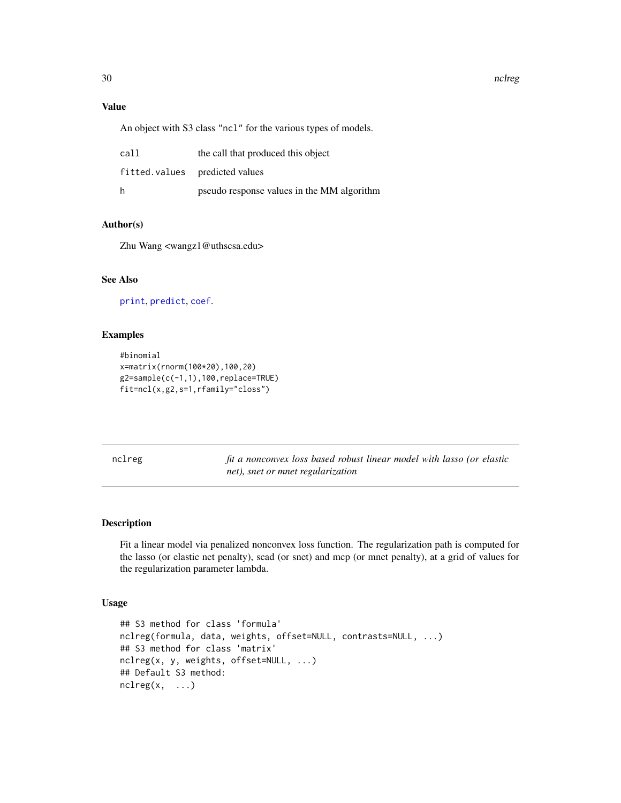### Value

An object with S3 class "ncl" for the various types of models.

| call | the call that produced this object         |
|------|--------------------------------------------|
|      | fitted.values predicted values             |
| h    | pseudo response values in the MM algorithm |

### Author(s)

Zhu Wang <wangz1@uthscsa.edu>

### See Also

[print](#page-0-0), [predict](#page-0-0), [coef](#page-0-0).

### Examples

```
#binomial
x=matrix(rnorm(100*20),100,20)
g2=sample(c(-1,1),100,replace=TRUE)
fit=ncl(x,g2,s=1,rfamily="closs")
```
<span id="page-29-1"></span>nclreg *fit a nonconvex loss based robust linear model with lasso (or elastic net), snet or mnet regularization*

### Description

Fit a linear model via penalized nonconvex loss function. The regularization path is computed for the lasso (or elastic net penalty), scad (or snet) and mcp (or mnet penalty), at a grid of values for the regularization parameter lambda.

### Usage

```
## S3 method for class 'formula'
nclreg(formula, data, weights, offset=NULL, contrasts=NULL, ...)
## S3 method for class 'matrix'
nclreg(x, y, weights, offset=NULL, ...)
## Default S3 method:
nclreg(x, \ldots)
```
<span id="page-29-0"></span>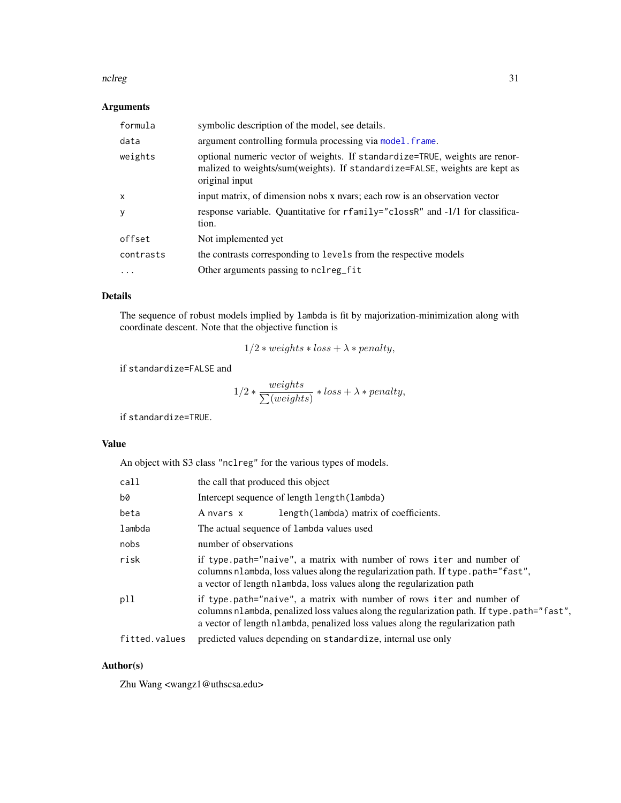#### <span id="page-30-0"></span>nclreg 31

### Arguments

| formula                   | symbolic description of the model, see details.                                                                                                                             |
|---------------------------|-----------------------------------------------------------------------------------------------------------------------------------------------------------------------------|
| data                      | argument controlling formula processing via model. frame.                                                                                                                   |
| weights                   | optional numeric vector of weights. If standardize=TRUE, weights are renor-<br>malized to weights/sum(weights). If standardize=FALSE, weights are kept as<br>original input |
| $\boldsymbol{\mathsf{x}}$ | input matrix, of dimension nobs x nyars; each row is an observation vector                                                                                                  |
| y                         | response variable. Quantitative for rfamily="clossR" and -1/1 for classifica-<br>tion.                                                                                      |
| offset                    | Not implemented yet                                                                                                                                                         |
| contrasts                 | the contrasts corresponding to levels from the respective models                                                                                                            |
| .                         | Other arguments passing to nclreg_fit                                                                                                                                       |

### Details

The sequence of robust models implied by lambda is fit by majorization-minimization along with coordinate descent. Note that the objective function is

$$
1/2 * weights * loss + \lambda * penalty,
$$

if standardize=FALSE and

$$
1/2 * \frac{weights}{\sum (weights)} * loss + \lambda * penalty,
$$

if standardize=TRUE.

#### Value

An object with S3 class "nclreg" for the various types of models.

| call          | the call that produced this object                                                                                                                                                                                                  |                                                                                                                                                                                                                                                        |
|---------------|-------------------------------------------------------------------------------------------------------------------------------------------------------------------------------------------------------------------------------------|--------------------------------------------------------------------------------------------------------------------------------------------------------------------------------------------------------------------------------------------------------|
| b0            | Intercept sequence of length length (lambda)                                                                                                                                                                                        |                                                                                                                                                                                                                                                        |
| beta          | A nvars x                                                                                                                                                                                                                           | length(lambda) matrix of coefficients.                                                                                                                                                                                                                 |
| lambda        | The actual sequence of lambda values used                                                                                                                                                                                           |                                                                                                                                                                                                                                                        |
| nobs          | number of observations                                                                                                                                                                                                              |                                                                                                                                                                                                                                                        |
| risk          | if type path="naive", a matrix with number of rows iter and number of<br>columns nlambda, loss values along the regularization path. If type .path="fast",<br>a vector of length nlambda, loss values along the regularization path |                                                                                                                                                                                                                                                        |
| p11           |                                                                                                                                                                                                                                     | if type path="naive", a matrix with number of rows iter and number of<br>columns nlambda, penalized loss values along the regularization path. If type path="fast",<br>a vector of length nlambda, penalized loss values along the regularization path |
| fitted.values |                                                                                                                                                                                                                                     | predicted values depending on standardize, internal use only                                                                                                                                                                                           |

### Author(s)

Zhu Wang <wangz1@uthscsa.edu>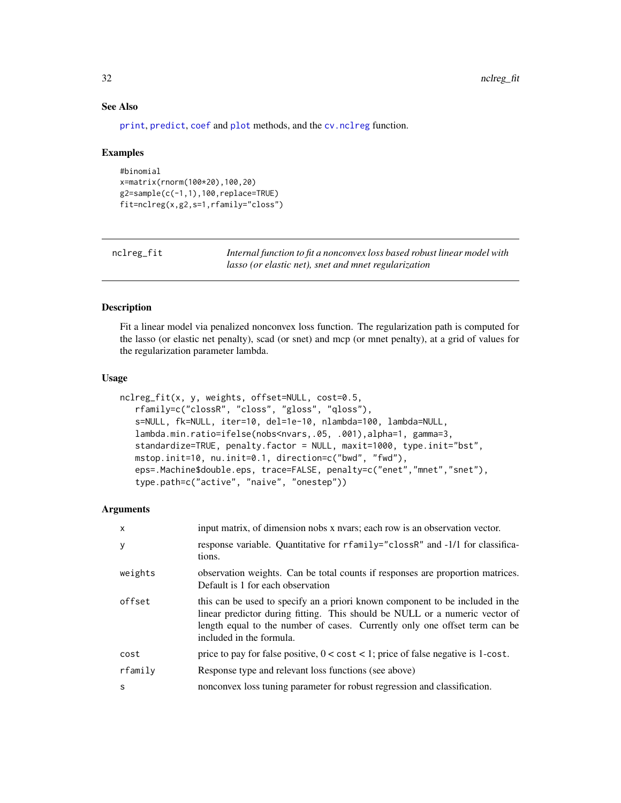### See Also

[print](#page-0-0), [predict](#page-0-0), [coef](#page-0-0) and [plot](#page-0-0) methods, and the [cv.nclreg](#page-10-1) function.

#### Examples

```
#binomial
x=matrix(rnorm(100*20),100,20)
g2=sample(c(-1,1),100,replace=TRUE)
fit=nclreg(x,g2,s=1,rfamily="closs")
```

| nclreg_fit | Internal function to fit a nonconvex loss based robust linear model with |
|------------|--------------------------------------------------------------------------|
|            | <i>lasso (or elastic net), snet and mnet regularization</i>              |

### Description

Fit a linear model via penalized nonconvex loss function. The regularization path is computed for the lasso (or elastic net penalty), scad (or snet) and mcp (or mnet penalty), at a grid of values for the regularization parameter lambda.

### Usage

```
nclreg_fit(x, y, weights, offset=NULL, cost=0.5,
   rfamily=c("clossR", "closs", "gloss", "qloss"),
   s=NULL, fk=NULL, iter=10, del=1e-10, nlambda=100, lambda=NULL,
   lambda.min.ratio=ifelse(nobs<nvars,.05, .001),alpha=1, gamma=3,
   standardize=TRUE, penalty.factor = NULL, maxit=1000, type.init="bst",
   mstop.init=10, nu.init=0.1, direction=c("bwd", "fwd"),
   eps=.Machine$double.eps, trace=FALSE, penalty=c("enet","mnet","snet"),
   type.path=c("active", "naive", "onestep"))
```

| $\mathsf{x}$ | input matrix, of dimension nobs x nvars; each row is an observation vector.                                                                                                                                                                                            |
|--------------|------------------------------------------------------------------------------------------------------------------------------------------------------------------------------------------------------------------------------------------------------------------------|
| y            | response variable. Quantitative for rfamily="clossR" and -1/1 for classifica-<br>tions.                                                                                                                                                                                |
| weights      | observation weights. Can be total counts if responses are proportion matrices.<br>Default is 1 for each observation                                                                                                                                                    |
| offset       | this can be used to specify an a priori known component to be included in the<br>linear predictor during fitting. This should be NULL or a numeric vector of<br>length equal to the number of cases. Currently only one offset term can be<br>included in the formula. |
| cost         | price to pay for false positive, $0 < \text{cost} < 1$ ; price of false negative is 1-cost.                                                                                                                                                                            |
| rfamily      | Response type and relevant loss functions (see above)                                                                                                                                                                                                                  |
| S            | nonconvex loss tuning parameter for robust regression and classification.                                                                                                                                                                                              |

<span id="page-31-0"></span>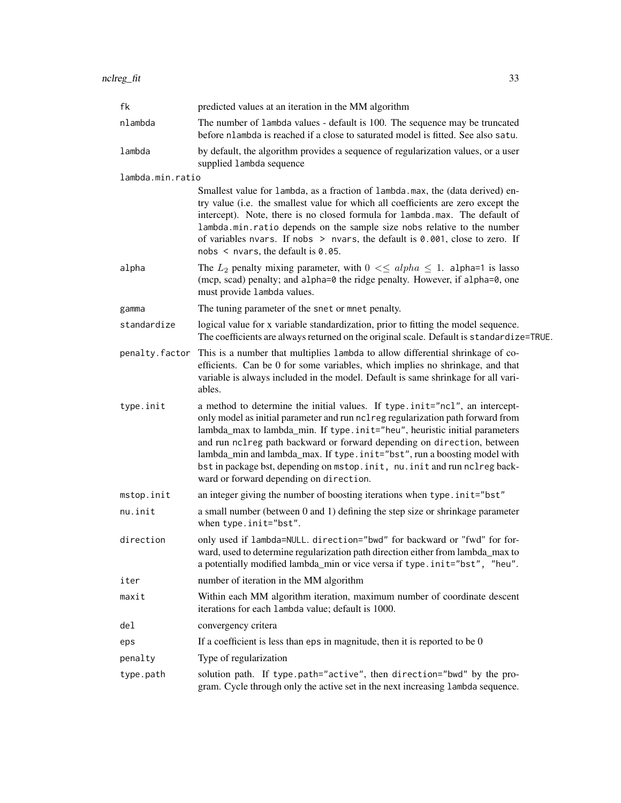| fk               | predicted values at an iteration in the MM algorithm                                                                                                                                                                                                                                                                                                                                                                                                                                                                          |
|------------------|-------------------------------------------------------------------------------------------------------------------------------------------------------------------------------------------------------------------------------------------------------------------------------------------------------------------------------------------------------------------------------------------------------------------------------------------------------------------------------------------------------------------------------|
| nlambda          | The number of lambda values - default is 100. The sequence may be truncated<br>before nlambda is reached if a close to saturated model is fitted. See also satu.                                                                                                                                                                                                                                                                                                                                                              |
| lambda           | by default, the algorithm provides a sequence of regularization values, or a user<br>supplied lambda sequence                                                                                                                                                                                                                                                                                                                                                                                                                 |
| lambda.min.ratio |                                                                                                                                                                                                                                                                                                                                                                                                                                                                                                                               |
|                  | Smallest value for lambda, as a fraction of lambda.max, the (data derived) en-<br>try value (i.e. the smallest value for which all coefficients are zero except the<br>intercept). Note, there is no closed formula for lambda.max. The default of<br>lambda.min.ratio depends on the sample size nobs relative to the number<br>of variables nvars. If nobs $>$ nvars, the default is 0.001, close to zero. If<br>nobs $\leq$ nvars, the default is 0.05.                                                                    |
| alpha            | The $L_2$ penalty mixing parameter, with $0 \leq \leq \alpha$ l $h \geq 1$ . alpha=1 is lasso<br>(mcp, scad) penalty; and alpha=0 the ridge penalty. However, if alpha=0, one<br>must provide lambda values.                                                                                                                                                                                                                                                                                                                  |
| gamma            | The tuning parameter of the snet or mnet penalty.                                                                                                                                                                                                                                                                                                                                                                                                                                                                             |
| standardize      | logical value for x variable standardization, prior to fitting the model sequence.<br>The coefficients are always returned on the original scale. Default is standardize=TRUE.                                                                                                                                                                                                                                                                                                                                                |
| penalty.factor   | This is a number that multiplies 1 ambda to allow differential shrinkage of co-<br>efficients. Can be 0 for some variables, which implies no shrinkage, and that<br>variable is always included in the model. Default is same shrinkage for all vari-<br>ables.                                                                                                                                                                                                                                                               |
| type.init        | a method to determine the initial values. If type.init="ncl", an intercept-<br>only model as initial parameter and run nclreg regularization path forward from<br>lambda_max to lambda_min. If type.init="heu", heuristic initial parameters<br>and run nclreg path backward or forward depending on direction, between<br>lambda_min and lambda_max. If type.init="bst", run a boosting model with<br>bst in package bst, depending on mstop. init, nu. init and run nclreg back-<br>ward or forward depending on direction. |
| mstop.init       | an integer giving the number of boosting iterations when type.init="bst"                                                                                                                                                                                                                                                                                                                                                                                                                                                      |
| nu.init          | a small number (between 0 and 1) defining the step size or shrinkage parameter<br>when type.init="bst".                                                                                                                                                                                                                                                                                                                                                                                                                       |
| direction        | only used if lambda=NULL. direction="bwd" for backward or "fwd" for for-<br>ward, used to determine regularization path direction either from lambda_max to<br>a potentially modified lambda_min or vice versa if type.init="bst", "heu".                                                                                                                                                                                                                                                                                     |
| iter             | number of iteration in the MM algorithm                                                                                                                                                                                                                                                                                                                                                                                                                                                                                       |
| maxit            | Within each MM algorithm iteration, maximum number of coordinate descent<br>iterations for each lambda value; default is 1000.                                                                                                                                                                                                                                                                                                                                                                                                |
| del              | convergency critera                                                                                                                                                                                                                                                                                                                                                                                                                                                                                                           |
| eps              | If a coefficient is less than eps in magnitude, then it is reported to be $0$                                                                                                                                                                                                                                                                                                                                                                                                                                                 |
| penalty          | Type of regularization                                                                                                                                                                                                                                                                                                                                                                                                                                                                                                        |
| type.path        | solution path. If type.path="active", then direction="bwd" by the pro-<br>gram. Cycle through only the active set in the next increasing lambda sequence.                                                                                                                                                                                                                                                                                                                                                                     |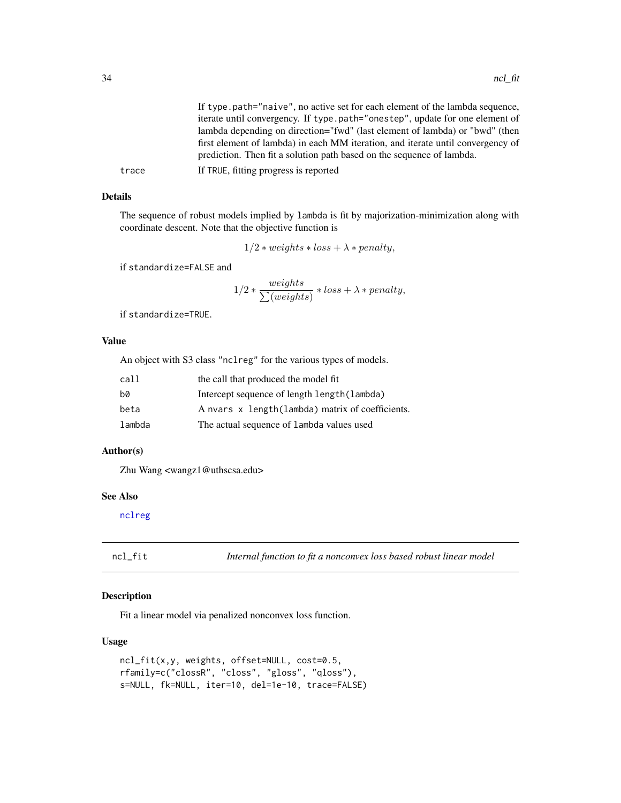<span id="page-33-0"></span>

|       | If type, path="naive", no active set for each element of the lambda sequence,                                                                            |
|-------|----------------------------------------------------------------------------------------------------------------------------------------------------------|
|       | iterate until convergency. If type.path="onestep", update for one element of                                                                             |
|       | lambda depending on direction="fwd" (last element of lambda) or "bwd" (then                                                                              |
|       | first element of lambda) in each MM iteration, and iterate until convergency of<br>prediction. Then fit a solution path based on the sequence of lambda. |
| trace | If TRUE, fitting progress is reported                                                                                                                    |

The sequence of robust models implied by lambda is fit by majorization-minimization along with coordinate descent. Note that the objective function is

$$
1/2*weights * loss + \lambda * penalty,
$$

if standardize=FALSE and

$$
1/2 * \frac{weights}{\sum (weights)} * loss + \lambda * penalty,
$$

if standardize=TRUE.

### Value

An object with S3 class "nclreg" for the various types of models.

| call   | the call that produced the model fit              |
|--------|---------------------------------------------------|
| hØ     | Intercept sequence of length length (lambda)      |
| beta   | A nvars x length (lambda) matrix of coefficients. |
| lambda | The actual sequence of lambda values used         |

### Author(s)

Zhu Wang <wangz1@uthscsa.edu>

### See Also

[nclreg](#page-29-1)

ncl\_fit *Internal function to fit a nonconvex loss based robust linear model*

### Description

Fit a linear model via penalized nonconvex loss function.

### Usage

```
ncl_fit(x,y, weights, offset=NULL, cost=0.5,
rfamily=c("clossR", "closs", "gloss", "qloss"),
s=NULL, fk=NULL, iter=10, del=1e-10, trace=FALSE)
```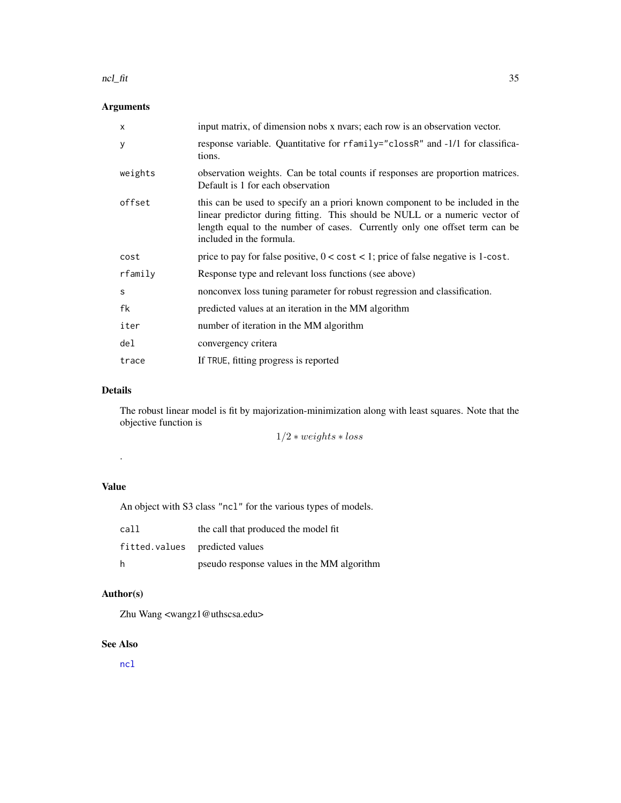#### <span id="page-34-0"></span>ncl\_fit 35

### Arguments

| $\mathsf{x}$ | input matrix, of dimension nobs x nvars; each row is an observation vector.                                                                                                                                                                                            |
|--------------|------------------------------------------------------------------------------------------------------------------------------------------------------------------------------------------------------------------------------------------------------------------------|
| У            | response variable. Quantitative for rfamily="clossR" and -1/1 for classifica-<br>tions.                                                                                                                                                                                |
| weights      | observation weights. Can be total counts if responses are proportion matrices.<br>Default is 1 for each observation                                                                                                                                                    |
| offset       | this can be used to specify an a priori known component to be included in the<br>linear predictor during fitting. This should be NULL or a numeric vector of<br>length equal to the number of cases. Currently only one offset term can be<br>included in the formula. |
| cost         | price to pay for false positive, $0 < \text{cost} < 1$ ; price of false negative is 1-cost.                                                                                                                                                                            |
| rfamily      | Response type and relevant loss functions (see above)                                                                                                                                                                                                                  |
| S            | nonconvex loss tuning parameter for robust regression and classification.                                                                                                                                                                                              |
| fk           | predicted values at an iteration in the MM algorithm                                                                                                                                                                                                                   |
| iter         | number of iteration in the MM algorithm                                                                                                                                                                                                                                |
| del          | convergency critera                                                                                                                                                                                                                                                    |
| trace        | If TRUE, fitting progress is reported                                                                                                                                                                                                                                  |

### Details

The robust linear model is fit by majorization-minimization along with least squares. Note that the objective function is

 $1/2 * weights * loss$ 

### Value

.

An object with S3 class "ncl" for the various types of models.

| call | the call that produced the model fit       |
|------|--------------------------------------------|
|      | fitted.values predicted values             |
| h    | pseudo response values in the MM algorithm |

### Author(s)

Zhu Wang <wangz1@uthscsa.edu>

### See Also

[ncl](#page-28-1)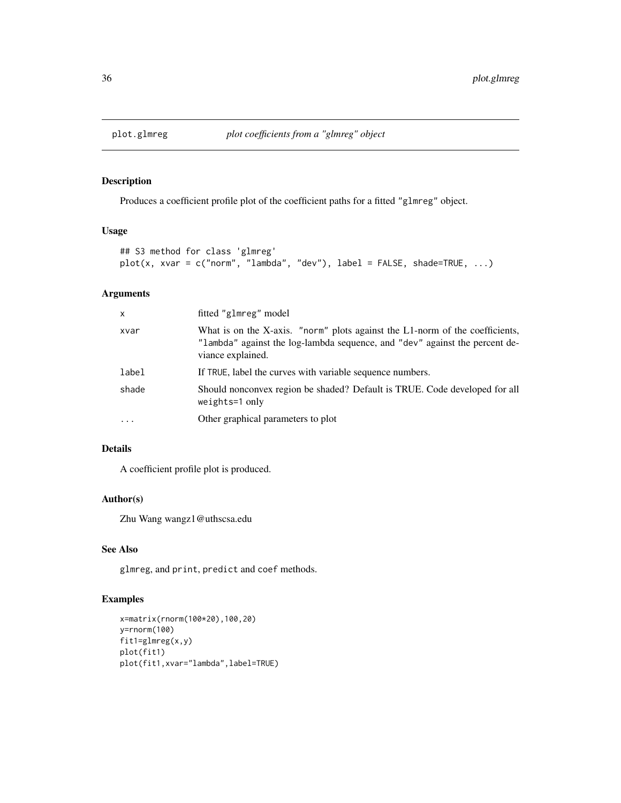<span id="page-35-0"></span>

Produces a coefficient profile plot of the coefficient paths for a fitted "glmreg" object.

### Usage

```
## S3 method for class 'glmreg'
plot(x, xvar = c("norm", "lambda", "dev"), label = FALSE, shade=True, ...)
```
### Arguments

| $\mathsf{x}$ | fitted "glmreg" model                                                                                                                                                            |
|--------------|----------------------------------------------------------------------------------------------------------------------------------------------------------------------------------|
| xvar         | What is on the X-axis. "norm" plots against the L1-norm of the coefficients,<br>"lambda" against the log-lambda sequence, and "dev" against the percent de-<br>viance explained. |
| label        | If TRUE, label the curves with variable sequence numbers.                                                                                                                        |
| shade        | Should nonconvex region be shaded? Default is TRUE. Code developed for all<br>$weights=1$ only                                                                                   |
| $\cdots$     | Other graphical parameters to plot                                                                                                                                               |

### Details

A coefficient profile plot is produced.

### Author(s)

Zhu Wang wangz1@uthscsa.edu

### See Also

glmreg, and print, predict and coef methods.

### Examples

```
x=matrix(rnorm(100*20),100,20)
y=rnorm(100)
fit1=glmreg(x,y)
plot(fit1)
plot(fit1,xvar="lambda",label=TRUE)
```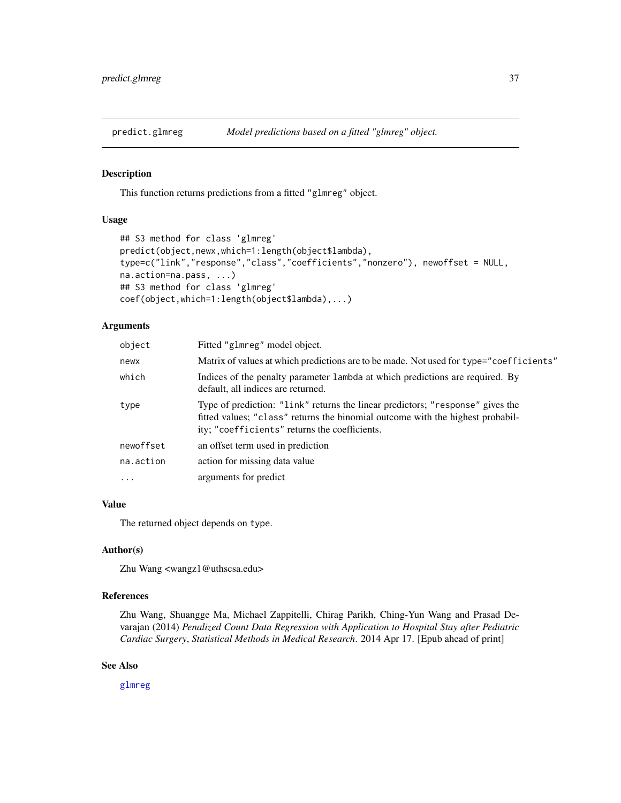<span id="page-36-0"></span>

This function returns predictions from a fitted "glmreg" object.

#### Usage

```
## S3 method for class 'glmreg'
predict(object,newx,which=1:length(object$lambda),
type=c("link","response","class","coefficients","nonzero"), newoffset = NULL,
na.action=na.pass, ...)
## S3 method for class 'glmreg'
coef(object,which=1:length(object$lambda),...)
```
#### Arguments

| object    | Fitted "glmreg" model object.                                                                                                                                                                                      |
|-----------|--------------------------------------------------------------------------------------------------------------------------------------------------------------------------------------------------------------------|
| newx      | Matrix of values at which predictions are to be made. Not used for type="coefficients"                                                                                                                             |
| which     | Indices of the penalty parameter 1 ambda at which predictions are required. By<br>default, all indices are returned.                                                                                               |
| type      | Type of prediction: "1 ink" returns the linear predictors; "response" gives the<br>fitted values; "class" returns the binomial outcome with the highest probabil-<br>ity; "coefficients" returns the coefficients. |
| newoffset | an offset term used in prediction                                                                                                                                                                                  |
| na.action | action for missing data value                                                                                                                                                                                      |
| $\ddotsc$ | arguments for predict                                                                                                                                                                                              |

### Value

The returned object depends on type.

### Author(s)

Zhu Wang <wangz1@uthscsa.edu>

### References

Zhu Wang, Shuangge Ma, Michael Zappitelli, Chirag Parikh, Ching-Yun Wang and Prasad Devarajan (2014) *Penalized Count Data Regression with Application to Hospital Stay after Pediatric Cardiac Surgery*, *Statistical Methods in Medical Research*. 2014 Apr 17. [Epub ahead of print]

#### See Also

[glmreg](#page-16-1)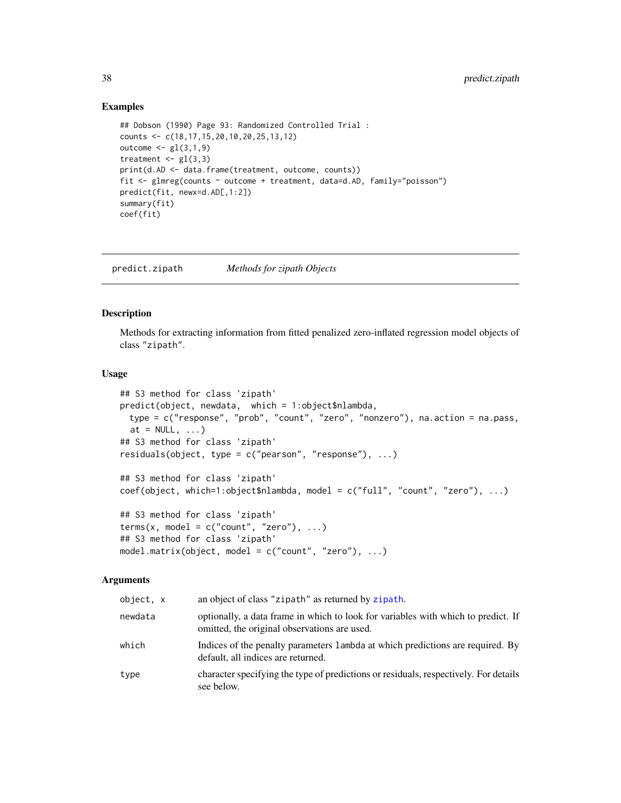#### Examples

```
## Dobson (1990) Page 93: Randomized Controlled Trial :
counts <- c(18,17,15,20,10,20,25,13,12)
outcome \leq gl(3,1,9)
treatment \leq gl(3,3)
print(d.AD <- data.frame(treatment, outcome, counts))
fit <- glmreg(counts ~ outcome + treatment, data=d.AD, family="poisson")
predict(fit, newx=d.AD[,1:2])
summary(fit)
coef(fit)
```
<span id="page-37-1"></span>predict.zipath *Methods for zipath Objects*

### Description

Methods for extracting information from fitted penalized zero-inflated regression model objects of class "zipath".

### Usage

```
## S3 method for class 'zipath'
predict(object, newdata, which = 1:object$nlambda,
 type = c("response", "prob", "count", "zero", "nonzero"), na.action = na.pass,
 at = NULL, ...)## S3 method for class 'zipath'
residuals(object, type = c("pearson", "response"), ...)
## S3 method for class 'zipath'
coef(object, which=1:object$nlambda, model = c("full", "count", "zero"), ...)
## S3 method for class 'zipath'
terms(x, model = c("count", "zero"), ...)## S3 method for class 'zipath'
model.matrix(object, model = c("count", "zero"), ...)
```

| object, x | an object of class "zipath" as returned by zipath.                                                                                |
|-----------|-----------------------------------------------------------------------------------------------------------------------------------|
| newdata   | optionally, a data frame in which to look for variables with which to predict. If<br>omitted, the original observations are used. |
| which     | Indices of the penalty parameters 1 ambda at which predictions are required. By<br>default, all indices are returned.             |
| type      | character specifying the type of predictions or residuals, respectively. For details<br>see below.                                |

<span id="page-37-0"></span>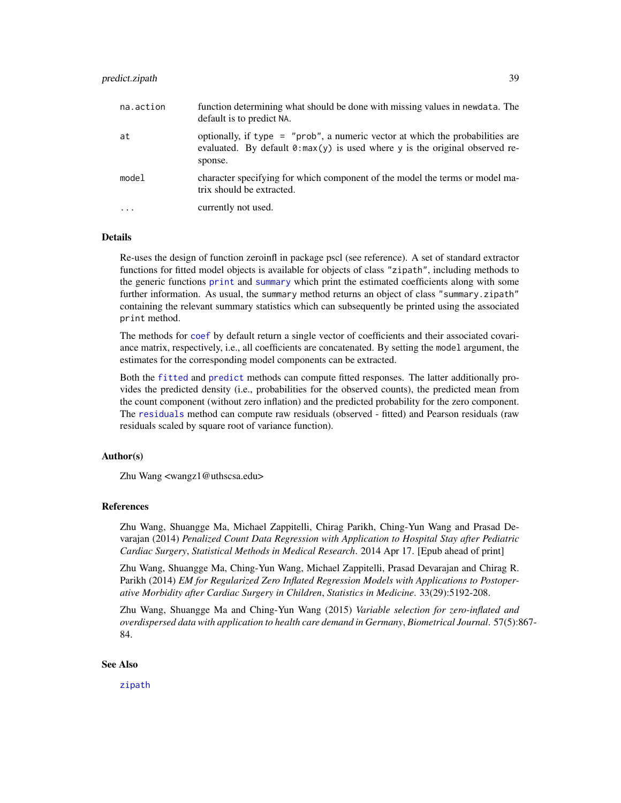### <span id="page-38-0"></span>predict.zipath 39

| na.action | function determining what should be done with missing values in newdata. The<br>default is to predict NA.                                                                            |
|-----------|--------------------------------------------------------------------------------------------------------------------------------------------------------------------------------------|
| at        | optionally, if type = " $prob$ ", a numeric vector at which the probabilities are<br>evaluated. By default $\theta$ : max(y) is used where y is the original observed re-<br>sponse. |
| model     | character specifying for which component of the model the terms or model ma-<br>trix should be extracted.                                                                            |
| $\ddots$  | currently not used.                                                                                                                                                                  |

#### Details

Re-uses the design of function zeroinfl in package pscl (see reference). A set of standard extractor functions for fitted model objects is available for objects of class "zipath", including methods to the generic functions [print](#page-0-0) and [summary](#page-0-0) which print the estimated coefficients along with some further information. As usual, the summary method returns an object of class "summary.zipath" containing the relevant summary statistics which can subsequently be printed using the associated print method.

The methods for [coef](#page-0-0) by default return a single vector of coefficients and their associated covariance matrix, respectively, i.e., all coefficients are concatenated. By setting the model argument, the estimates for the corresponding model components can be extracted.

Both the [fitted](#page-0-0) and [predict](#page-0-0) methods can compute fitted responses. The latter additionally provides the predicted density (i.e., probabilities for the observed counts), the predicted mean from the count component (without zero inflation) and the predicted probability for the zero component. The [residuals](#page-0-0) method can compute raw residuals (observed - fitted) and Pearson residuals (raw residuals scaled by square root of variance function).

### Author(s)

Zhu Wang <wangz1@uthscsa.edu>

#### References

Zhu Wang, Shuangge Ma, Michael Zappitelli, Chirag Parikh, Ching-Yun Wang and Prasad Devarajan (2014) *Penalized Count Data Regression with Application to Hospital Stay after Pediatric Cardiac Surgery*, *Statistical Methods in Medical Research*. 2014 Apr 17. [Epub ahead of print]

Zhu Wang, Shuangge Ma, Ching-Yun Wang, Michael Zappitelli, Prasad Devarajan and Chirag R. Parikh (2014) *EM for Regularized Zero Inflated Regression Models with Applications to Postoperative Morbidity after Cardiac Surgery in Children*, *Statistics in Medicine*. 33(29):5192-208.

Zhu Wang, Shuangge Ma and Ching-Yun Wang (2015) *Variable selection for zero-inflated and overdispersed data with application to health care demand in Germany*, *Biometrical Journal*. 57(5):867- 84.

### See Also

[zipath](#page-47-1)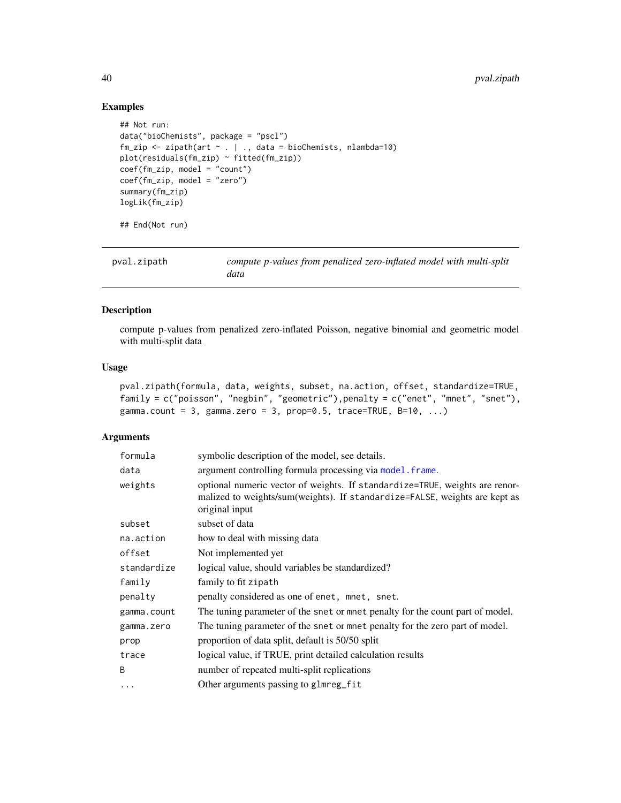### Examples

```
## Not run:
data("bioChemists", package = "pscl")
fm\_zip \leq zipath(art \sim . \mid ., data = bioChemists, nlambda=10)plot(residuals(fm_zip) ~ fitted(fm_zip))
coef(fm_zip, model = "count")
coef(fm_zip, model = "zero")
summary(fm_zip)
logLik(fm_zip)
## End(Not run)
```

| pval.zipath | compute p-values from penalized zero-inflated model with multi-split<br>data |
|-------------|------------------------------------------------------------------------------|
|             |                                                                              |

### Description

compute p-values from penalized zero-inflated Poisson, negative binomial and geometric model with multi-split data

### Usage

```
pval.zipath(formula, data, weights, subset, na.action, offset, standardize=TRUE,
family = c("poisson", "negbin", "geometric"),penalty = c("enet", "mnet", "snet"),
gamma.count = 3, gamma.zero = 3, prop=0.5, trace=TRUE, B=10, ...)
```

| formula     | symbolic description of the model, see details.                                                                                                                             |
|-------------|-----------------------------------------------------------------------------------------------------------------------------------------------------------------------------|
| data        | argument controlling formula processing via model. frame.                                                                                                                   |
| weights     | optional numeric vector of weights. If standardize=TRUE, weights are renor-<br>malized to weights/sum(weights). If standardize=FALSE, weights are kept as<br>original input |
| subset      | subset of data                                                                                                                                                              |
| na.action   | how to deal with missing data                                                                                                                                               |
| offset      | Not implemented yet                                                                                                                                                         |
| standardize | logical value, should variables be standardized?                                                                                                                            |
| family      | family to fit zipath                                                                                                                                                        |
| penalty     | penalty considered as one of enet, mnet, snet.                                                                                                                              |
| gamma.count | The tuning parameter of the snet or mnet penalty for the count part of model.                                                                                               |
| gamma.zero  | The tuning parameter of the snet or mnet penalty for the zero part of model.                                                                                                |
| prop        | proportion of data split, default is 50/50 split                                                                                                                            |
| trace       | logical value, if TRUE, print detailed calculation results                                                                                                                  |
| B           | number of repeated multi-split replications                                                                                                                                 |
| $\cdots$    | Other arguments passing to glmreg_fit                                                                                                                                       |
|             |                                                                                                                                                                             |

<span id="page-39-0"></span>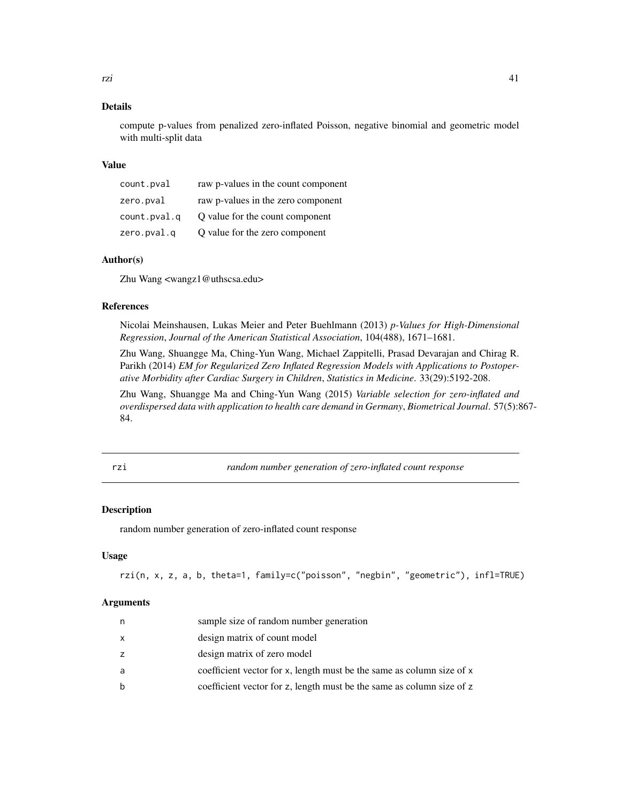<span id="page-40-0"></span>compute p-values from penalized zero-inflated Poisson, negative binomial and geometric model with multi-split data

#### Value

| count.pval   | raw p-values in the count component |
|--------------|-------------------------------------|
| zero.pval    | raw p-values in the zero component  |
| count.pval.q | O value for the count component     |
| zero.pval.q  | Q value for the zero component      |

### Author(s)

Zhu Wang <wangz1@uthscsa.edu>

### References

Nicolai Meinshausen, Lukas Meier and Peter Buehlmann (2013) *p-Values for High-Dimensional Regression*, *Journal of the American Statistical Association*, 104(488), 1671–1681.

Zhu Wang, Shuangge Ma, Ching-Yun Wang, Michael Zappitelli, Prasad Devarajan and Chirag R. Parikh (2014) *EM for Regularized Zero Inflated Regression Models with Applications to Postoperative Morbidity after Cardiac Surgery in Children*, *Statistics in Medicine*. 33(29):5192-208.

Zhu Wang, Shuangge Ma and Ching-Yun Wang (2015) *Variable selection for zero-inflated and overdispersed data with application to health care demand in Germany*, *Biometrical Journal*. 57(5):867- 84.

rzi *random number generation of zero-inflated count response*

### Description

random number generation of zero-inflated count response

#### Usage

```
rzi(n, x, z, a, b, theta=1, family=c("poisson", "negbin", "geometric"), infl=TRUE)
```

| n | sample size of random number generation                               |
|---|-----------------------------------------------------------------------|
| x | design matrix of count model                                          |
| z | design matrix of zero model                                           |
| a | coefficient vector for x, length must be the same as column size of x |
| b | coefficient vector for z, length must be the same as column size of z |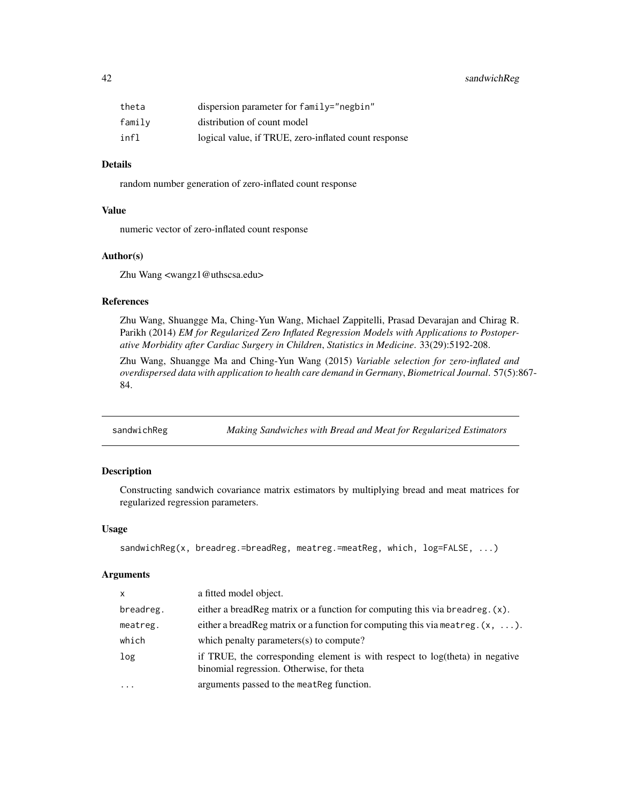<span id="page-41-0"></span>

| theta  | dispersion parameter for $family="right"$            |
|--------|------------------------------------------------------|
| family | distribution of count model                          |
| infl   | logical value, if TRUE, zero-inflated count response |

random number generation of zero-inflated count response

#### Value

numeric vector of zero-inflated count response

#### Author(s)

Zhu Wang <wangz1@uthscsa.edu>

#### References

Zhu Wang, Shuangge Ma, Ching-Yun Wang, Michael Zappitelli, Prasad Devarajan and Chirag R. Parikh (2014) *EM for Regularized Zero Inflated Regression Models with Applications to Postoperative Morbidity after Cardiac Surgery in Children*, *Statistics in Medicine*. 33(29):5192-208.

Zhu Wang, Shuangge Ma and Ching-Yun Wang (2015) *Variable selection for zero-inflated and overdispersed data with application to health care demand in Germany*, *Biometrical Journal*. 57(5):867- 84.

<span id="page-41-1"></span>sandwichReg *Making Sandwiches with Bread and Meat for Regularized Estimators*

### Description

Constructing sandwich covariance matrix estimators by multiplying bread and meat matrices for regularized regression parameters.

#### Usage

```
sandwichReg(x, breadreg.=breadReg, meatreg.=meatReg, which, log=FALSE, ...)
```

| $\mathsf{x}$ | a fitted model object.                                                                                                    |
|--------------|---------------------------------------------------------------------------------------------------------------------------|
| breadreg.    | either a bread Reg matrix or a function for computing this via bread reg. $(x)$ .                                         |
| meatreg.     | either a bread Reg matrix or a function for computing this via meatreg. $(x, \ldots)$ .                                   |
| which        | which penalty parameters(s) to compute?                                                                                   |
| log          | if TRUE, the corresponding element is with respect to log(theta) in negative<br>binomial regression. Otherwise, for theta |
| $\cdots$     | arguments passed to the meat Reg function.                                                                                |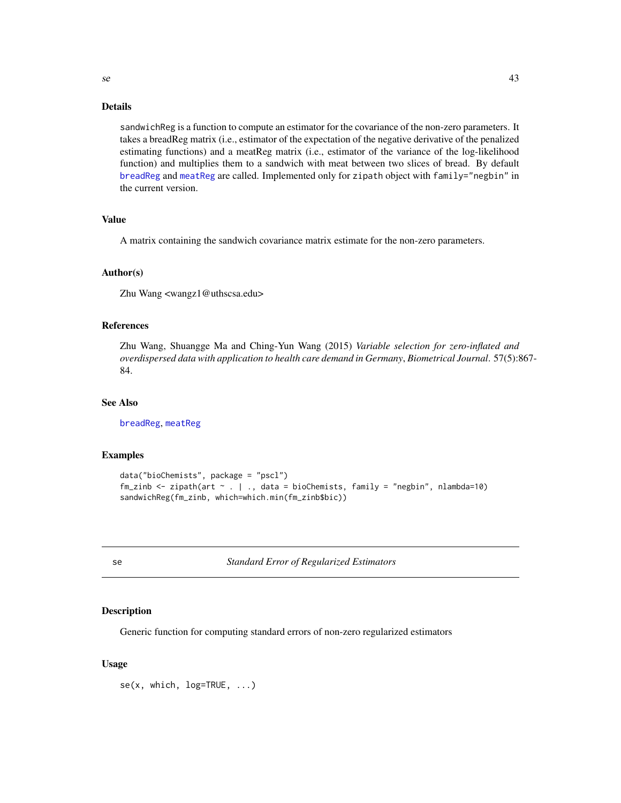<span id="page-42-0"></span>sandwichReg is a function to compute an estimator for the covariance of the non-zero parameters. It takes a breadReg matrix (i.e., estimator of the expectation of the negative derivative of the penalized estimating functions) and a meatReg matrix (i.e., estimator of the variance of the log-likelihood function) and multiplies them to a sandwich with meat between two slices of bread. By default [breadReg](#page-2-1) and [meatReg](#page-26-1) are called. Implemented only for zipath object with family="negbin" in the current version.

### Value

A matrix containing the sandwich covariance matrix estimate for the non-zero parameters.

### Author(s)

Zhu Wang <wangz1@uthscsa.edu>

### References

Zhu Wang, Shuangge Ma and Ching-Yun Wang (2015) *Variable selection for zero-inflated and overdispersed data with application to health care demand in Germany*, *Biometrical Journal*. 57(5):867- 84.

### See Also

[breadReg](#page-2-1), [meatReg](#page-26-1)

#### Examples

```
data("bioChemists", package = "pscl")
fm_zinb <- zipath(art ~ . | ., data = bioChemists, family = "negbin", nlambda=10)
sandwichReg(fm_zinb, which=which.min(fm_zinb$bic))
```
se *Standard Error of Regularized Estimators*

### Description

Generic function for computing standard errors of non-zero regularized estimators

#### Usage

se(x, which, log=TRUE, ...)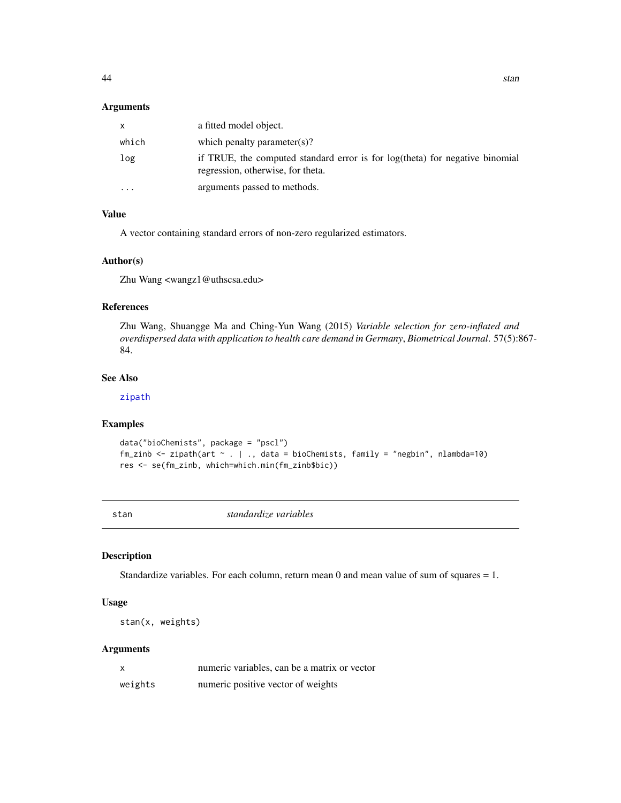#### <span id="page-43-0"></span>Arguments

| X.       | a fitted model object.                                                                                            |
|----------|-------------------------------------------------------------------------------------------------------------------|
| which    | which penalty parameter(s)?                                                                                       |
| log      | if TRUE, the computed standard error is for log(theta) for negative binomial<br>regression, otherwise, for theta. |
| $\cdots$ | arguments passed to methods.                                                                                      |

### Value

A vector containing standard errors of non-zero regularized estimators.

#### Author(s)

Zhu Wang <wangz1@uthscsa.edu>

### References

Zhu Wang, Shuangge Ma and Ching-Yun Wang (2015) *Variable selection for zero-inflated and overdispersed data with application to health care demand in Germany*, *Biometrical Journal*. 57(5):867- 84.

### See Also

[zipath](#page-47-1)

### Examples

```
data("bioChemists", package = "pscl")
fm_zinb <- zipath(art \sim . | ., data = bioChemists, family = "negbin", nlambda=10)
res <- se(fm_zinb, which=which.min(fm_zinb$bic))
```
stan *standardize variables*

#### Description

Standardize variables. For each column, return mean  $0$  and mean value of sum of squares  $= 1$ .

### Usage

stan(x, weights)

|         | numeric variables, can be a matrix or vector |
|---------|----------------------------------------------|
| weights | numeric positive vector of weights           |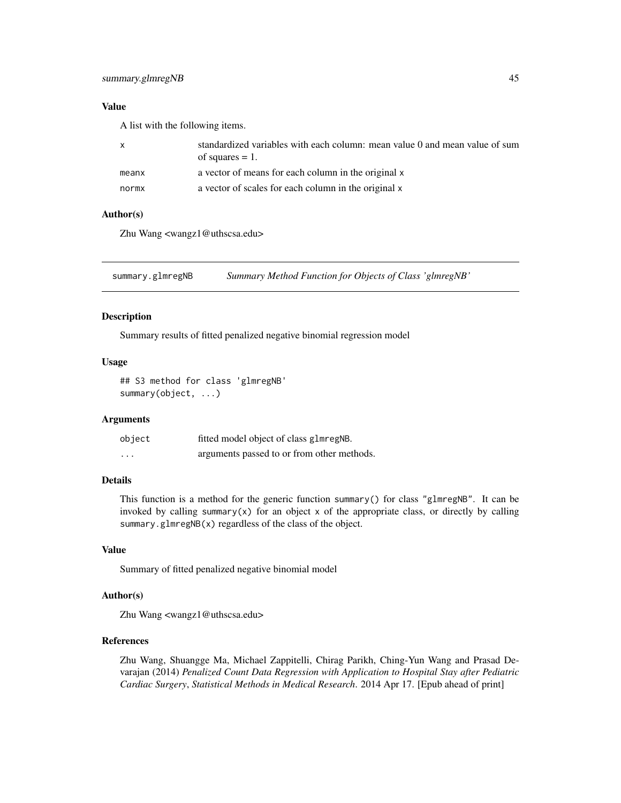### <span id="page-44-0"></span>Value

A list with the following items.

| X     | standardized variables with each column: mean value 0 and mean value of sum<br>of squares $= 1$ . |
|-------|---------------------------------------------------------------------------------------------------|
| meanx | a vector of means for each column in the original x                                               |
| normx | a vector of scales for each column in the original x                                              |

### Author(s)

Zhu Wang <wangz1@uthscsa.edu>

summary.glmregNB *Summary Method Function for Objects of Class 'glmregNB'*

### Description

Summary results of fitted penalized negative binomial regression model

### Usage

## S3 method for class 'glmregNB' summary(object, ...)

#### Arguments

| object   | fitted model object of class glmregNB.     |
|----------|--------------------------------------------|
| $\cdots$ | arguments passed to or from other methods. |

### Details

This function is a method for the generic function summary() for class "glmregNB". It can be invoked by calling summary(x) for an object x of the appropriate class, or directly by calling summary.glmregNB(x) regardless of the class of the object.

### Value

Summary of fitted penalized negative binomial model

### Author(s)

Zhu Wang <wangz1@uthscsa.edu>

### References

Zhu Wang, Shuangge Ma, Michael Zappitelli, Chirag Parikh, Ching-Yun Wang and Prasad Devarajan (2014) *Penalized Count Data Regression with Application to Hospital Stay after Pediatric Cardiac Surgery*, *Statistical Methods in Medical Research*. 2014 Apr 17. [Epub ahead of print]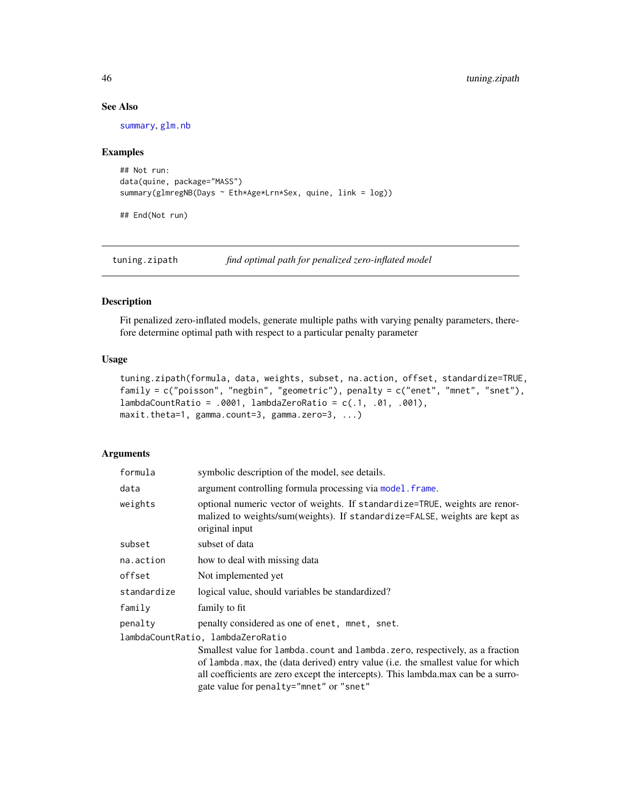### See Also

[summary](#page-0-0), [glm.nb](#page-0-0)

#### Examples

```
## Not run:
data(quine, package="MASS")
summary(glmregNB(Days ~ Eth*Age*Lrn*Sex, quine, link = log))
```
## End(Not run)

tuning.zipath *find optimal path for penalized zero-inflated model*

### Description

Fit penalized zero-inflated models, generate multiple paths with varying penalty parameters, therefore determine optimal path with respect to a particular penalty parameter

#### Usage

```
tuning.zipath(formula, data, weights, subset, na.action, offset, standardize=TRUE,
family = c("poisson", "negbin", "geometric"), penalty = c("enet", "mnet", "snet"),
lambdaCountRatio = .0001, lambdaZeroRatio = c(.1, .01, .001),
maxit.theta=1, gamma.count=3, gamma.zero=3, ...)
```

| formula     | symbolic description of the model, see details.                                                                                                                                                                                                                                                   |
|-------------|---------------------------------------------------------------------------------------------------------------------------------------------------------------------------------------------------------------------------------------------------------------------------------------------------|
| data        | argument controlling formula processing via model. frame.                                                                                                                                                                                                                                         |
| weights     | optional numeric vector of weights. If standardize=TRUE, weights are renor-<br>malized to weights/sum(weights). If standardize=FALSE, weights are kept as<br>original input                                                                                                                       |
| subset      | subset of data                                                                                                                                                                                                                                                                                    |
| na.action   | how to deal with missing data                                                                                                                                                                                                                                                                     |
| offset      | Not implemented yet                                                                                                                                                                                                                                                                               |
| standardize | logical value, should variables be standardized?                                                                                                                                                                                                                                                  |
| family      | family to fit                                                                                                                                                                                                                                                                                     |
| penalty     | penalty considered as one of enet, mnet, snet.                                                                                                                                                                                                                                                    |
|             | lambdaCountRatio, lambdaZeroRatio                                                                                                                                                                                                                                                                 |
|             | Smallest value for lambda.count and lambda.zero, respectively, as a fraction<br>of lambda. max, the (data derived) entry value (i.e. the smallest value for which<br>all coefficients are zero except the intercepts). This lambda.max can be a surro-<br>gate value for penalty="mnet" or "snet" |

<span id="page-45-0"></span>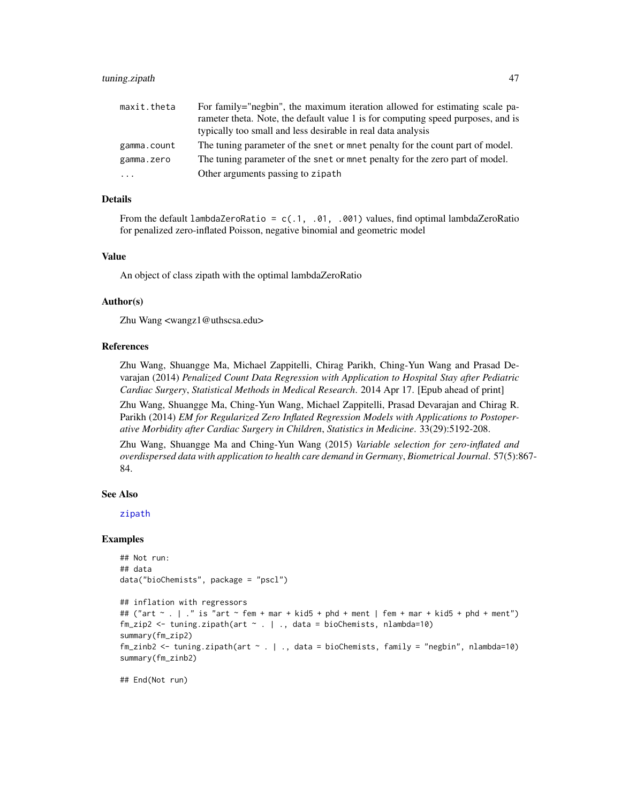<span id="page-46-0"></span>

| maxit.theta | For family="negbin", the maximum iteration allowed for estimating scale pa-      |
|-------------|----------------------------------------------------------------------------------|
|             | rameter theta. Note, the default value 1 is for computing speed purposes, and is |
|             | typically too small and less desirable in real data analysis                     |
| gamma.count | The tuning parameter of the snet or mnet penalty for the count part of model.    |
| gamma.zero  | The tuning parameter of the snet or mnet penalty for the zero part of model.     |
| $\cdots$    | Other arguments passing to zipath                                                |

From the default lambdaZeroRatio =  $c(.1, .01, .001)$  values, find optimal lambdaZeroRatio for penalized zero-inflated Poisson, negative binomial and geometric model

#### Value

An object of class zipath with the optimal lambdaZeroRatio

#### Author(s)

Zhu Wang <wangz1@uthscsa.edu>

### References

Zhu Wang, Shuangge Ma, Michael Zappitelli, Chirag Parikh, Ching-Yun Wang and Prasad Devarajan (2014) *Penalized Count Data Regression with Application to Hospital Stay after Pediatric Cardiac Surgery*, *Statistical Methods in Medical Research*. 2014 Apr 17. [Epub ahead of print]

Zhu Wang, Shuangge Ma, Ching-Yun Wang, Michael Zappitelli, Prasad Devarajan and Chirag R. Parikh (2014) *EM for Regularized Zero Inflated Regression Models with Applications to Postoperative Morbidity after Cardiac Surgery in Children*, *Statistics in Medicine*. 33(29):5192-208.

Zhu Wang, Shuangge Ma and Ching-Yun Wang (2015) *Variable selection for zero-inflated and overdispersed data with application to health care demand in Germany*, *Biometrical Journal*. 57(5):867- 84.

#### See Also

[zipath](#page-47-1)

#### Examples

```
## Not run:
## data
data("bioChemists", package = "pscl")
```

```
## inflation with regressors
## ("art ~ . | ." is "art ~ fem + mar + kid5 + phd + ment | fem + mar + kid5 + phd + ment")
fm_zip2 <- tuning.zipath(art ~ . | ., data = bioChemists, nlambda=10)
summary(fm_zip2)
fm_zinb2 <- tuning.zipath(art ~ . | ., data = bioChemists, family = "negbin", nlambda=10)
summary(fm_zinb2)
```
## End(Not run)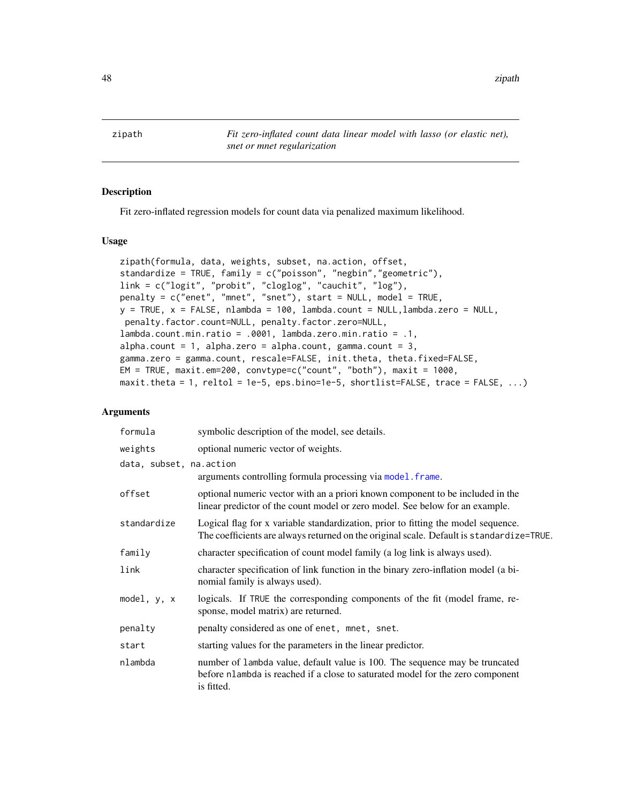<span id="page-47-0"></span>48 zipath

<span id="page-47-1"></span>zipath *Fit zero-inflated count data linear model with lasso (or elastic net), snet or mnet regularization*

### Description

Fit zero-inflated regression models for count data via penalized maximum likelihood.

#### Usage

```
zipath(formula, data, weights, subset, na.action, offset,
standardize = TRUE, family = c("poisson", "negbin","geometric"),
link = c("logit", "probit", "cloglog", "cauchit", "log"),
penalty = c("enet", "mnet", "snet"), start = NULL, model = TRUE,
y = TRUE, x = FALSE, nlambda = 100, lambda.count = NULL, lambda.zero = NULL,penalty.factor.count=NULL, penalty.factor.zero=NULL,
lambda.count.min.ratio = .0001, lambda.zero.min.ratio = .1,
alpha.count = 1, alpha.zero = alpha.count, gamma.count = 3,
gamma.zero = gamma.count, rescale=FALSE, init.theta, theta.fixed=FALSE,
EM = TRUE, maxit.em=200, convtype=c("count", "both"), maxit = 1000,
maxit.theta = 1, reltol = 1e-5, eps.bino=1e-5, shortlist=FALSE, trace = FALSE, ...)
```

| formula                 | symbolic description of the model, see details.                                                                                                                               |
|-------------------------|-------------------------------------------------------------------------------------------------------------------------------------------------------------------------------|
| weights                 | optional numeric vector of weights.                                                                                                                                           |
| data, subset, na.action |                                                                                                                                                                               |
|                         | arguments controlling formula processing via model. frame.                                                                                                                    |
| offset                  | optional numeric vector with an a priori known component to be included in the<br>linear predictor of the count model or zero model. See below for an example.                |
| standardize             | Logical flag for x variable standardization, prior to fitting the model sequence.<br>The coefficients are always returned on the original scale. Default is standardize=TRUE. |
| family                  | character specification of count model family (a log link is always used).                                                                                                    |
| link                    | character specification of link function in the binary zero-inflation model (a bi-<br>nomial family is always used).                                                          |
| model, y, x             | logicals. If TRUE the corresponding components of the fit (model frame, re-<br>sponse, model matrix) are returned.                                                            |
| penalty                 | penalty considered as one of enet, mnet, snet.                                                                                                                                |
| start                   | starting values for the parameters in the linear predictor.                                                                                                                   |
| nlambda                 | number of lambda value, default value is 100. The sequence may be truncated<br>before nlambda is reached if a close to saturated model for the zero component<br>is fitted.   |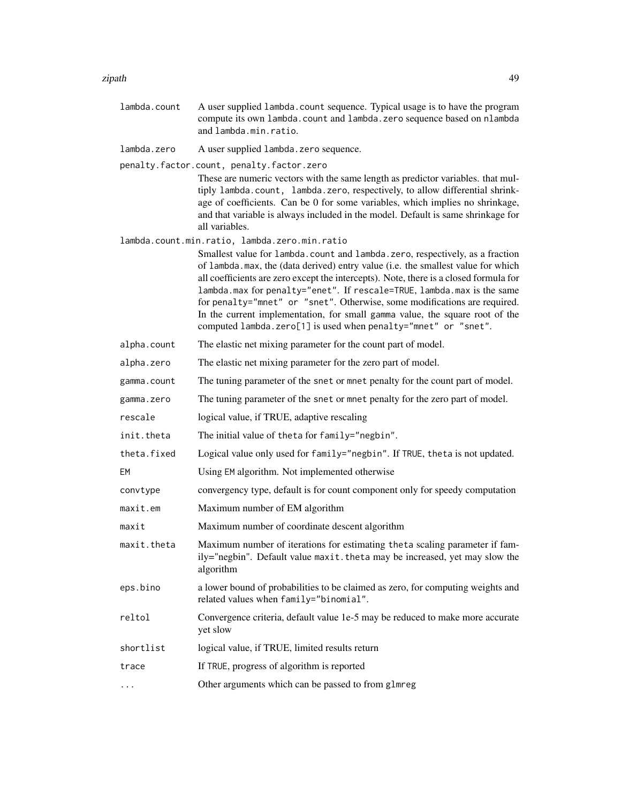#### zipath 49

lambda.count A user supplied lambda.count sequence. Typical usage is to have the program compute its own lambda.count and lambda.zero sequence based on nlambda and lambda.min.ratio.

lambda.zero A user supplied lambda.zero sequence.

penalty.factor.count, penalty.factor.zero

These are numeric vectors with the same length as predictor variables. that multiply lambda.count, lambda.zero, respectively, to allow differential shrinkage of coefficients. Can be 0 for some variables, which implies no shrinkage, and that variable is always included in the model. Default is same shrinkage for all variables.

lambda.count.min.ratio, lambda.zero.min.ratio

Smallest value for lambda.count and lambda.zero, respectively, as a fraction of lambda.max, the (data derived) entry value (i.e. the smallest value for which all coefficients are zero except the intercepts). Note, there is a closed formula for lambda.max for penalty="enet". If rescale=TRUE, lambda.max is the same for penalty="mnet" or "snet". Otherwise, some modifications are required. In the current implementation, for small gamma value, the square root of the computed lambda.zero[1] is used when penalty="mnet" or "snet".

alpha.count The elastic net mixing parameter for the count part of model.

alpha.zero The elastic net mixing parameter for the zero part of model.

gamma.count The tuning parameter of the snet or mnet penalty for the count part of model.

- gamma.zero The tuning parameter of the snet or mnet penalty for the zero part of model.
- rescale logical value, if TRUE, adaptive rescaling
- init.theta The initial value of theta for family="negbin".
- theta.fixed Logical value only used for family="negbin". If TRUE, theta is not updated.
- EM Using EM algorithm. Not implemented otherwise

convtype convergency type, default is for count component only for speedy computation

- maxit.em Maximum number of EM algorithm
- maxit Maximum number of coordinate descent algorithm

maxit.theta Maximum number of iterations for estimating theta scaling parameter if family="negbin". Default value maxit.theta may be increased, yet may slow the algorithm

- eps.bino a lower bound of probabilities to be claimed as zero, for computing weights and related values when family="binomial".
- reltol Convergence criteria, default value 1e-5 may be reduced to make more accurate yet slow
- shortlist logical value, if TRUE, limited results return
- trace If TRUE, progress of algorithm is reported

... Other arguments which can be passed to from glmreg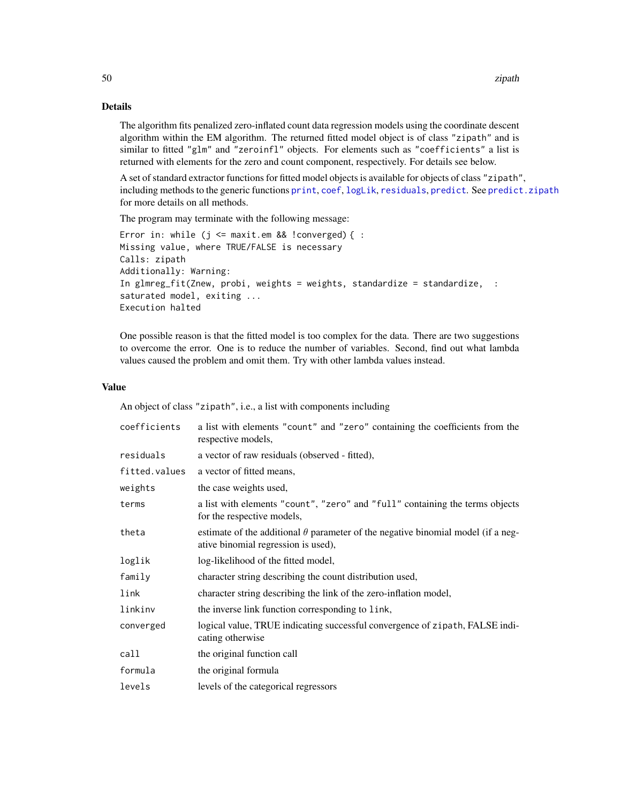The algorithm fits penalized zero-inflated count data regression models using the coordinate descent algorithm within the EM algorithm. The returned fitted model object is of class "zipath" and is similar to fitted "glm" and "zeroinfl" objects. For elements such as "coefficients" a list is returned with elements for the zero and count component, respectively. For details see below.

A set of standard extractor functions for fitted model objects is available for objects of class "zipath", including methods to the generic functions [print](#page-0-0), [coef](#page-0-0), [logLik](#page-0-0), [residuals](#page-0-0), [predict](#page-0-0). See [predict.zipath](#page-37-1) for more details on all methods.

The program may terminate with the following message:

```
Error in: while (j \leq maxit.em && !converged) { :
Missing value, where TRUE/FALSE is necessary
Calls: zipath
Additionally: Warning:
In glmreg_fit(Znew, probi, weights = weights, standardize = standardize, :
saturated model, exiting ...
Execution halted
```
One possible reason is that the fitted model is too complex for the data. There are two suggestions to overcome the error. One is to reduce the number of variables. Second, find out what lambda values caused the problem and omit them. Try with other lambda values instead.

#### Value

An object of class "zipath", i.e., a list with components including

| coefficients  | a list with elements "count" and "zero" containing the coefficients from the<br>respective models,                             |
|---------------|--------------------------------------------------------------------------------------------------------------------------------|
| residuals     | a vector of raw residuals (observed - fitted),                                                                                 |
| fitted.values | a vector of fitted means,                                                                                                      |
| weights       | the case weights used,                                                                                                         |
| terms         | a list with elements "count", "zero" and "full" containing the terms objects<br>for the respective models,                     |
| theta         | estimate of the additional $\theta$ parameter of the negative binomial model (if a neg-<br>ative binomial regression is used), |
| loglik        | log-likelihood of the fitted model,                                                                                            |
| family        | character string describing the count distribution used,                                                                       |
| link          | character string describing the link of the zero-inflation model,                                                              |
| linkinv       | the inverse link function corresponding to link,                                                                               |
| converged     | logical value, TRUE indicating successful convergence of zipath, FALSE indi-<br>cating otherwise                               |
| call          | the original function call                                                                                                     |
| formula       | the original formula                                                                                                           |
| levels        | levels of the categorical regressors                                                                                           |

<span id="page-49-0"></span>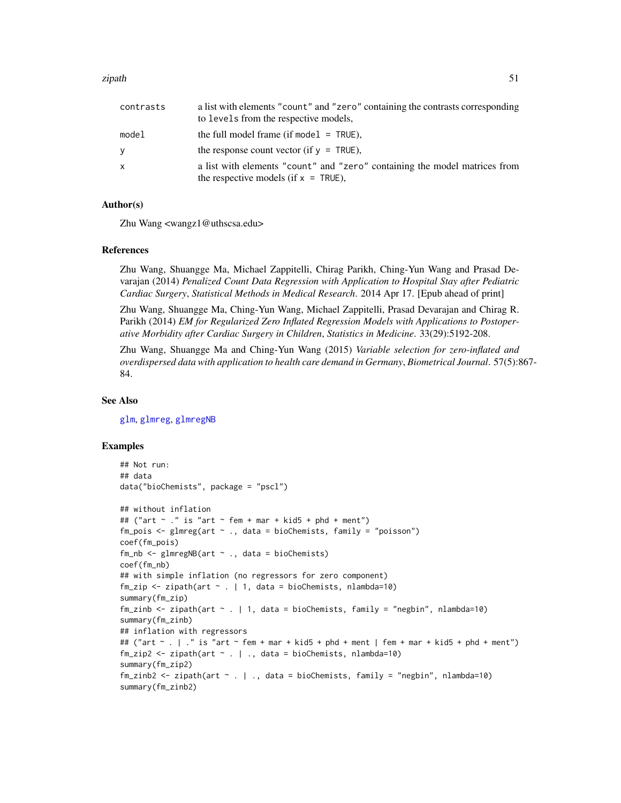#### <span id="page-50-0"></span>zipath 51

| contrasts | a list with elements "count" and "zero" containing the contrasts corresponding |
|-----------|--------------------------------------------------------------------------------|
|           | to levels from the respective models.                                          |
| model     | the full model frame (if model $=$ TRUE).                                      |
| V         | the response count vector (if $y = TRUE$ ).                                    |
| X         | a list with elements "count" and "zero" containing the model matrices from     |
|           | the respective models (if $x = TRUE$ ),                                        |

#### Author(s)

Zhu Wang <wangz1@uthscsa.edu>

#### References

Zhu Wang, Shuangge Ma, Michael Zappitelli, Chirag Parikh, Ching-Yun Wang and Prasad Devarajan (2014) *Penalized Count Data Regression with Application to Hospital Stay after Pediatric Cardiac Surgery*, *Statistical Methods in Medical Research*. 2014 Apr 17. [Epub ahead of print]

Zhu Wang, Shuangge Ma, Ching-Yun Wang, Michael Zappitelli, Prasad Devarajan and Chirag R. Parikh (2014) *EM for Regularized Zero Inflated Regression Models with Applications to Postoperative Morbidity after Cardiac Surgery in Children*, *Statistics in Medicine*. 33(29):5192-208.

Zhu Wang, Shuangge Ma and Ching-Yun Wang (2015) *Variable selection for zero-inflated and overdispersed data with application to health care demand in Germany*, *Biometrical Journal*. 57(5):867- 84.

#### See Also

[glm](#page-0-0), [glmreg](#page-16-1), [glmregNB](#page-19-1)

#### Examples

```
## Not run:
## data
data("bioChemists", package = "pscl")
## without inflation
## ("art \sim ." is "art \sim fem + mar + kid5 + phd + ment")
fm\_pois \leq glmreg(art \sim ., data = bioChemists, family = "poisson")coef(fm_pois)
fm_nb \leq glmregNB(art \sim ., data = bioChemists)coef(fm_nb)
## with simple inflation (no regressors for zero component)
fm\_zip \leq zipath(art \sim . \mid 1, data = bioChemists, nlambda=10)summary(fm_zip)
fm_zinb \le zipath(art \sim . | 1, data = bioChemists, family = "negbin", nlambda=10)
summary(fm_zinb)
## inflation with regressors
## ("art ~ . | ." is "art ~ fem + mar + kid5 + phd + ment | fem + mar + kid5 + phd + ment")
fm\_zip2 \leq zipath(art \sim . \mid ., data = bioChemists, nlambda=10)summary(fm_zip2)
fm_zinb2 <- zipath(art ~ . | ., data = bioChemists, family = "negbin", nlambda=10)
summary(fm_zinb2)
```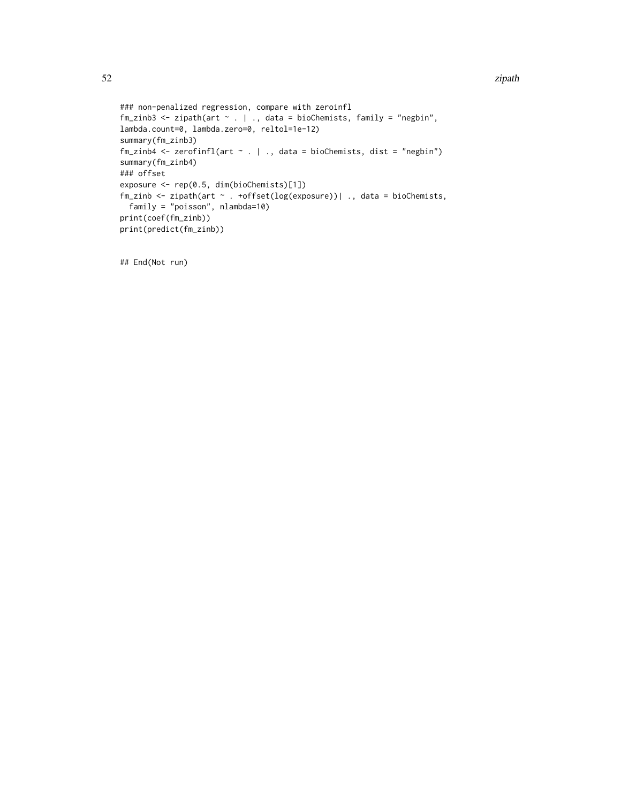#### 52 zipath

```
### non-penalized regression, compare with zeroinfl
fm_zinb3 <- zipath(art \sim . | ., data = bioChemists, family = "negbin",
lambda.count=0, lambda.zero=0, reltol=1e-12)
summary(fm_zinb3)
fm\_zinh4 \leq zerofinfl(art \leq . \mid ., data = bioChemists, dist = "negbin")summary(fm_zinb4)
### offset
exposure <- rep(0.5, dim(bioChemists)[1])
fm_zinb <- zipath(art ~ . +offset(log(exposure))| ., data = bioChemists,
  family = "poisson", nlambda=10)
print(coef(fm_zinb))
print(predict(fm_zinb))
```
## End(Not run)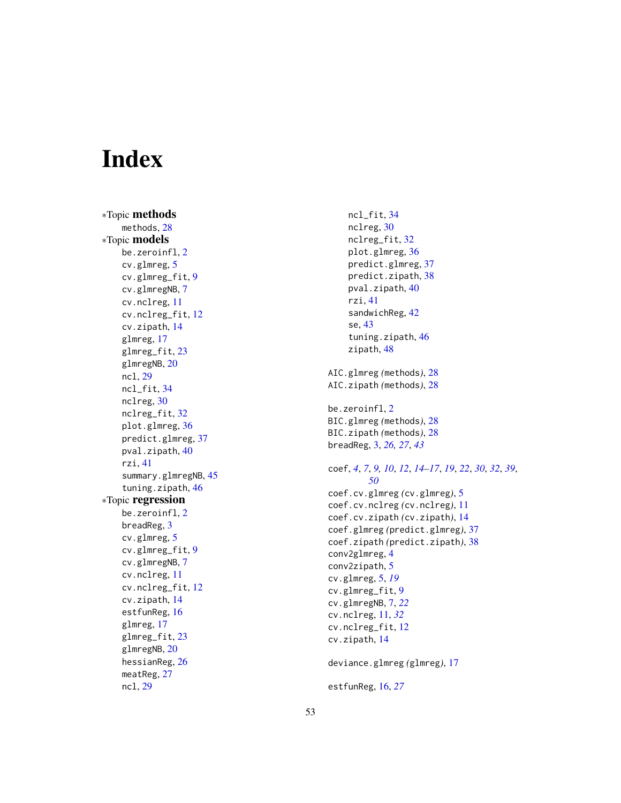# <span id="page-52-0"></span>**Index**

∗Topic methods methods, [28](#page-27-0) ∗Topic models be.zeroinfl, $2$ cv.glmreg, [5](#page-4-0) cv.glmreg\_fit , [9](#page-8-0) cv.glmregNB , [7](#page-6-0) cv.nclreg , [11](#page-10-0) cv.nclreg\_fit , [12](#page-11-0) cv.zipath , [14](#page-13-0) glmreg , [17](#page-16-0) glmreg\_fit , [23](#page-22-0) glmregNB, [20](#page-19-0) ncl , [29](#page-28-0) ncl\_fit , [34](#page-33-0) nclreg, [30](#page-29-0) nclreg\_fit , [32](#page-31-0) plot.glmreg , [36](#page-35-0) predict.glmreg , [37](#page-36-0) pval.zipath, [40](#page-39-0) rzi , [41](#page-40-0) summary.glmregNB , [45](#page-44-0) tuning.zipath, [46](#page-45-0) ∗Topic regression be.zeroinfl, $2$ breadReg , [3](#page-2-0) cv.glmreg, [5](#page-4-0) cv.glmreg\_fit , [9](#page-8-0) cv.glmregNB, [7](#page-6-0) cv.nclreg , [11](#page-10-0) cv.nclreg\_fit , [12](#page-11-0) cv.zipath , [14](#page-13-0) estfunReg , [16](#page-15-0) glmreg , [17](#page-16-0) glmreg\_fit, [23](#page-22-0) glmregNB, [20](#page-19-0) hessianReg , [26](#page-25-0) meatReg, [27](#page-26-0) ncl , [29](#page-28-0)

ncl\_fit , [34](#page-33-0) nclreg, [30](#page-29-0) nclreg\_fit , [32](#page-31-0) plot.glmreg, [36](#page-35-0) predict.glmreg , [37](#page-36-0) predict.zipath , [38](#page-37-0) pval.zipath, [40](#page-39-0) rzi , [41](#page-40-0) sandwichReg , [42](#page-41-0) se , [43](#page-42-0) tuning.zipath, [46](#page-45-0) zipath, [48](#page-47-0) AIC.glmreg *(*methods *)* , [28](#page-27-0) AIC.zipath *(*methods *)* , [28](#page-27-0) be.zeroinfl, $2$ BIC.glmreg *(*methods *)* , [28](#page-27-0) BIC.zipath *(*methods *)* , [28](#page-27-0) breadReg , [3](#page-2-0) , *[26,](#page-25-0) [27](#page-26-0)* , *[43](#page-42-0)* coef , *[4](#page-3-0)* , *[7](#page-6-0)* , *[9](#page-8-0) , [10](#page-9-0)* , *[12](#page-11-0)* , *[14](#page-13-0) [–17](#page-16-0)* , *[19](#page-18-0)* , *[22](#page-21-0)* , *[30](#page-29-0)* , *[32](#page-31-0)* , *[39](#page-38-0)* , *[50](#page-49-0)* coef.cv.glmreg *(*cv.glmreg *)* , [5](#page-4-0) coef.cv.nclreg *(*cv.nclreg *)* , [11](#page-10-0) coef.cv.zipath *(*cv.zipath *)* , [14](#page-13-0) coef.glmreg *(*predict.glmreg *)* , [37](#page-36-0) coef.zipath *(*predict.zipath *)* , [38](#page-37-0) conv2glmreg , [4](#page-3-0) conv2zipath , [5](#page-4-0) cv.glmreg , [5](#page-4-0) , *[19](#page-18-0)* cv.glmreg\_fit , [9](#page-8-0) cv.glmregNB , [7](#page-6-0) , *[22](#page-21-0)* cv.nclreg , [11](#page-10-0) , *[32](#page-31-0)* cv.nclreg\_fit , [12](#page-11-0) cv.zipath , [14](#page-13-0) deviance.glmreg *(*glmreg *)* , [17](#page-16-0) estfunReg , [16](#page-15-0) , *[27](#page-26-0)*